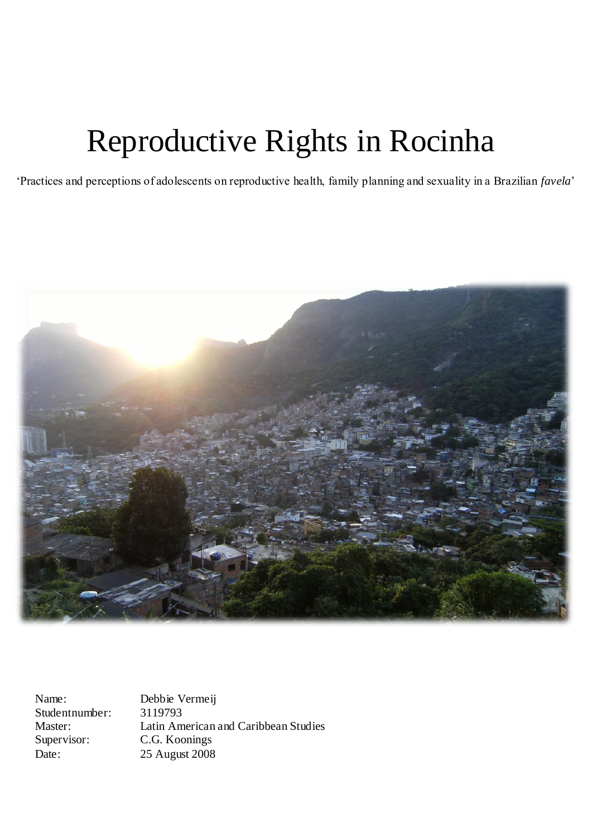# Reproductive Rights in Rocinha

"Practices and perceptions of adolescents on reproductive health, family planning and sexuality in a Brazilian *favela*"



Name: Debbie Vermeij Studentnumber: 3119793 Master: Latin American and Caribbean Studies Supervisor: C.G. Koonings Date: 25 August 2008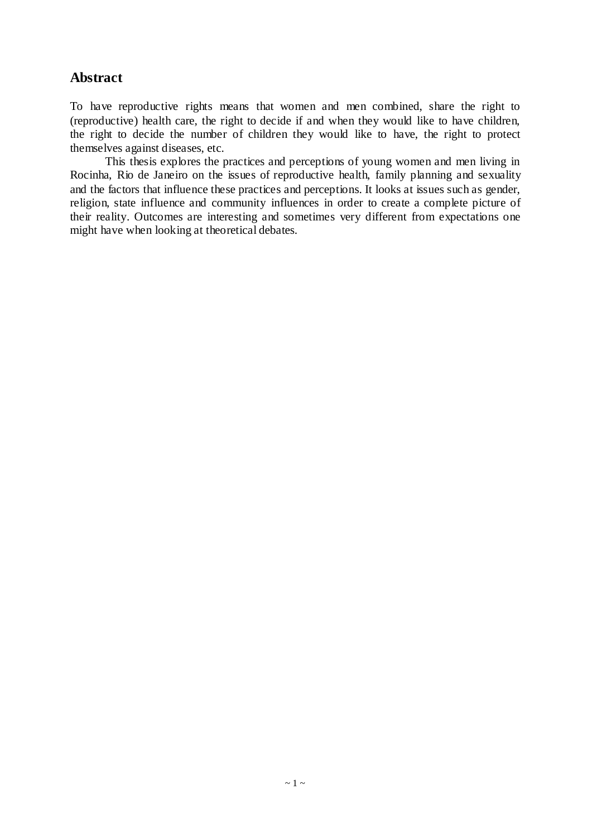## **Abstract**

To have reproductive rights means that women and men combined, share the right to (reproductive) health care, the right to decide if and when they would like to have children, the right to decide the number of children they would like to have, the right to protect themselves against diseases, etc.

This thesis explores the practices and perceptions of young women and men living in Rocinha, Rio de Janeiro on the issues of reproductive health, family planning and sexuality and the factors that influence these practices and perceptions. It looks at issues such as gender, religion, state influence and community influences in order to create a complete picture of their reality. Outcomes are interesting and sometimes very different from expectations one might have when looking at theoretical debates.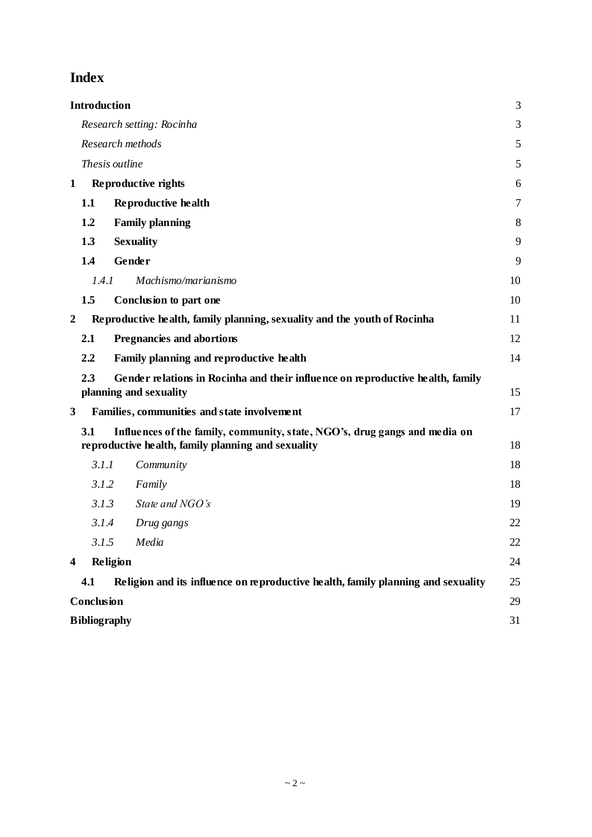## **Index**

|                         | <b>Introduction</b>                                                                                                                     | 3      |  |
|-------------------------|-----------------------------------------------------------------------------------------------------------------------------------------|--------|--|
|                         | Research setting: Rocinha                                                                                                               | 3      |  |
|                         | Research methods                                                                                                                        | 5      |  |
|                         | Thesis outline                                                                                                                          | 5      |  |
| 1                       | Reproductive rights                                                                                                                     | 6      |  |
|                         | 1.1<br>Reproductive health                                                                                                              | $\tau$ |  |
|                         | 1.2<br><b>Family planning</b>                                                                                                           | 8      |  |
|                         | 1.3<br><b>Sexuality</b>                                                                                                                 | 9      |  |
|                         | 1.4<br>Gender                                                                                                                           | 9      |  |
|                         | 1.4.1<br>Machismo/marianismo                                                                                                            | 10     |  |
|                         | 1.5<br>Conclusion to part one                                                                                                           | 10     |  |
| 2                       | Reproductive health, family planning, sexuality and the youth of Rocinha                                                                | 11     |  |
|                         | 2.1<br><b>Pregnancies and abortions</b>                                                                                                 | 12     |  |
|                         | 2.2<br>Family planning and reproductive health                                                                                          | 14     |  |
|                         | 2.3<br>Gender relations in Rocinha and their influence on reproductive health, family<br>planning and sexuality                         | 15     |  |
| 3                       | Families, communities and state involvement                                                                                             | 17     |  |
|                         | 3.1<br>Influences of the family, community, state, NGO's, drug gangs and media on<br>reproductive health, family planning and sexuality | 18     |  |
|                         | 3.1.1<br>Community                                                                                                                      | 18     |  |
|                         | 3.1.2<br>Family                                                                                                                         | 18     |  |
|                         | 3.1.3<br>State and NGO's                                                                                                                | 19     |  |
|                         | 3.1.4<br>Drug gangs                                                                                                                     | 22     |  |
|                         | 3.1.5 Media                                                                                                                             | 22     |  |
| $\overline{\mathbf{4}}$ | <b>Religion</b>                                                                                                                         | 24     |  |
|                         | Religion and its influence on reproductive health, family planning and sexuality<br>4.1                                                 | 25     |  |
|                         | <b>Conclusion</b>                                                                                                                       |        |  |
|                         | <b>Bibliography</b>                                                                                                                     |        |  |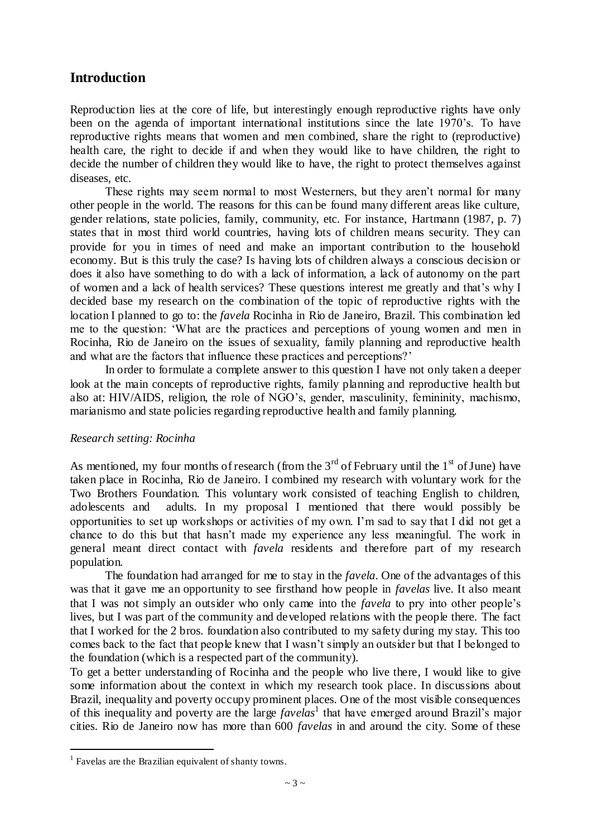#### **Introduction**

Reproduction lies at the core of life, but interestingly enough reproductive rights have only been on the agenda of important international institutions since the late 1970"s. To have reproductive rights means that women and men combined, share the right to (reproductive) health care, the right to decide if and when they would like to have children, the right to decide the number of children they would like to have, the right to protect themselves against diseases, etc.

These rights may seem normal to most Westerners, but they aren't normal for many other people in the world. The reasons for this can be found many different areas like culture, gender relations, state policies, family, community, etc. For instance, Hartmann (1987, p. 7) states that in most third world countries, having lots of children means security. They can provide for you in times of need and make an important contribution to the household economy. But is this truly the case? Is having lots of children always a conscious decision or does it also have something to do with a lack of information, a lack of autonomy on the part of women and a lack of health services? These questions interest me greatly and that"s why I decided base my research on the combination of the topic of reproductive rights with the location I planned to go to: the *favela* Rocinha in Rio de Janeiro, Brazil. This combination led me to the question: "What are the practices and perceptions of young women and men in Rocinha, Rio de Janeiro on the issues of sexuality, family planning and reproductive health and what are the factors that influence these practices and perceptions?"

In order to formulate a complete answer to this question I have not only taken a deeper look at the main concepts of reproductive rights, family planning and reproductive health but also at: HIV/AIDS, religion, the role of NGO"s, gender, masculinity, femininity, machismo, marianismo and state policies regarding reproductive health and family planning.

#### *Research setting: Rocinha*

As mentioned, my four months of research (from the  $3<sup>rd</sup>$  of February until the  $1<sup>st</sup>$  of June) have taken place in Rocinha, Rio de Janeiro. I combined my research with voluntary work for the Two Brothers Foundation. This voluntary work consisted of teaching English to children, adolescents and adults. In my proposal I mentioned that there would possibly be opportunities to set up workshops or activities of my own. I"m sad to say that I did not get a chance to do this but that hasn"t made my experience any less meaningful. The work in general meant direct contact with *favela* residents and therefore part of my research population.

The foundation had arranged for me to stay in the *favela*. One of the advantages of this was that it gave me an opportunity to see firsthand how people in *favelas* live. It also meant that I was not simply an outsider who only came into the *favela* to pry into other people"s lives, but I was part of the community and developed relations with the people there. The fact that I worked for the 2 bros. foundation also contributed to my safety during my stay. This too comes back to the fact that people knew that I wasn"t simply an outsider but that I belonged to the foundation (which is a respected part of the community).

To get a better understanding of Rocinha and the people who live there, I would like to give some information about the context in which my research took place. In discussions about Brazil, inequality and poverty occupy prominent places. One of the most visible consequences of this inequality and poverty are the large *favelas*<sup>1</sup> that have emerged around Brazil's major cities. Rio de Janeiro now has more than 600 *favelas* in and around the city. Some of these

 $\overline{a}$ 

<sup>&</sup>lt;sup>1</sup> Favelas are the Brazilian equivalent of shanty towns.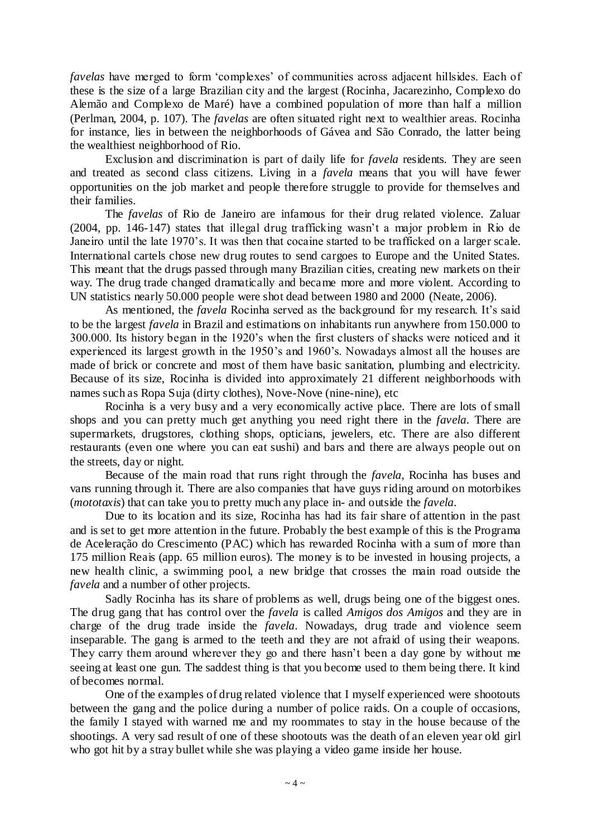*favelas* have merged to form "complexes" of communities across adjacent hillsides. Each of these is the size of a large Brazilian city and the largest (Rocinha, Jacarezinho, Complexo do Alemão and Complexo de Maré) have a combined population of more than half a million (Perlman, 2004, p. 107). The *favelas* are often situated right next to wealthier areas. Rocinha for instance, lies in between the neighborhoods of Gávea and São Conrado, the latter being the wealthiest neighborhood of Rio.

Exclusion and discrimination is part of daily life for *favela* residents. They are seen and treated as second class citizens. Living in a *favela* means that you will have fewer opportunities on the job market and people therefore struggle to provide for themselves and their families.

The *favelas* of Rio de Janeiro are infamous for their drug related violence. Zaluar (2004, pp. 146-147) states that illegal drug trafficking wasn"t a major problem in Rio de Janeiro until the late 1970's. It was then that cocaine started to be trafficked on a larger scale. International cartels chose new drug routes to send cargoes to Europe and the United States. This meant that the drugs passed through many Brazilian cities, creating new markets on their way. The drug trade changed dramatically and became more and more violent. According to UN statistics nearly 50.000 people were shot dead between 1980 and 2000 (Neate, 2006).

As mentioned, the *favela* Rocinha served as the background for my research. It's said to be the largest *favela* in Brazil and estimations on inhabitants run anywhere from 150.000 to 300.000. Its history began in the 1920"s when the first clusters of shacks were noticed and it experienced its largest growth in the 1950"s and 1960"s. Nowadays almost all the houses are made of brick or concrete and most of them have basic sanitation, plumbing and electricity. Because of its size, Rocinha is divided into approximately 21 different neighborhoods with names such as Ropa Suja (dirty clothes), Nove-Nove (nine-nine), etc

Rocinha is a very busy and a very economically active place. There are lots of small shops and you can pretty much get anything you need right there in the *favela*. There are supermarkets, drugstores, clothing shops, opticians, jewelers, etc. There are also different restaurants (even one where you can eat sushi) and bars and there are always people out on the streets, day or night.

Because of the main road that runs right through the *favela*, Rocinha has buses and vans running through it. There are also companies that have guys riding around on motorbikes (*mototaxis*) that can take you to pretty much any place in- and outside the *favela*.

Due to its location and its size, Rocinha has had its fair share of attention in the past and is set to get more attention in the future. Probably the best example of this is the Programa de Aceleração do Crescimento (PAC) which has rewarded Rocinha with a sum of more than 175 million Reais (app. 65 million euros). The money is to be invested in housing projects, a new health clinic, a swimming pool, a new bridge that crosses the main road outside the *favela* and a number of other projects.

Sadly Rocinha has its share of problems as well, drugs being one of the biggest ones. The drug gang that has control over the *favela* is called *Amigos dos Amigos* and they are in charge of the drug trade inside the *favela*. Nowadays, drug trade and violence seem inseparable. The gang is armed to the teeth and they are not afraid of using their weapons. They carry them around wherever they go and there hasn"t been a day gone by without me seeing at least one gun. The saddest thing is that you become used to them being there. It kind of becomes normal.

One of the examples of drug related violence that I myself experienced were shootouts between the gang and the police during a number of police raids. On a couple of occasions, the family I stayed with warned me and my roommates to stay in the house because of the shootings. A very sad result of one of these shootouts was the death of an eleven year old girl who got hit by a stray bullet while she was playing a video game inside her house.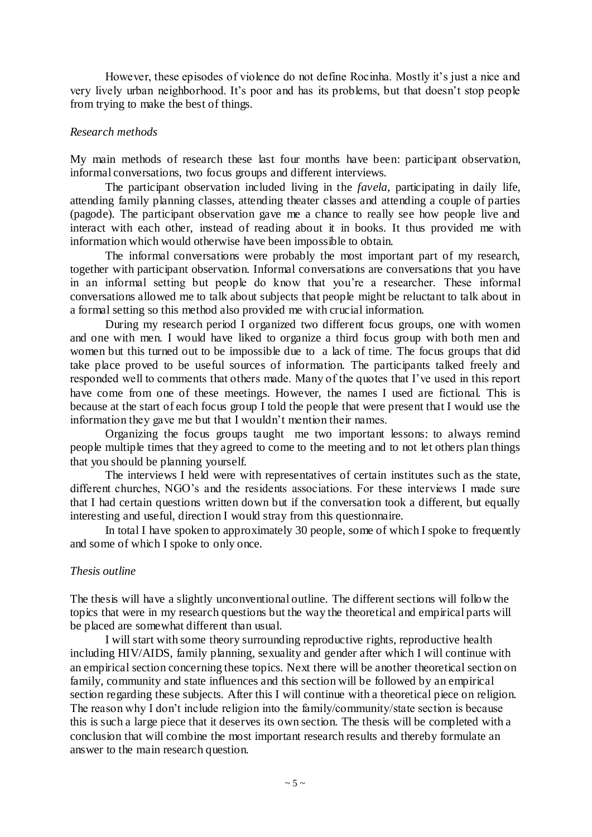However, these episodes of violence do not define Rocinha. Mostly it's just a nice and very lively urban neighborhood. It's poor and has its problems, but that doesn't stop people from trying to make the best of things.

#### *Research methods*

My main methods of research these last four months have been: participant observation, informal conversations, two focus groups and different interviews.

The participant observation included living in the *favela*, participating in daily life, attending family planning classes, attending theater classes and attending a couple of parties (pagode). The participant observation gave me a chance to really see how people live and interact with each other, instead of reading about it in books. It thus provided me with information which would otherwise have been impossible to obtain.

The informal conversations were probably the most important part of my research, together with participant observation. Informal conversations are conversations that you have in an informal setting but people do know that you"re a researcher. These informal conversations allowed me to talk about subjects that people might be reluctant to talk about in a formal setting so this method also provided me with crucial information.

During my research period I organized two different focus groups, one with women and one with men. I would have liked to organize a third focus group with both men and women but this turned out to be impossible due to a lack of time. The focus groups that did take place proved to be useful sources of information. The participants talked freely and responded well to comments that others made. Many of the quotes that I"ve used in this report have come from one of these meetings. However, the names I used are fictional. This is because at the start of each focus group I told the people that were present that I would use the information they gave me but that I wouldn"t mention their names.

Organizing the focus groups taught me two important lessons: to always remind people multiple times that they agreed to come to the meeting and to not let others plan things that you should be planning yourself.

The interviews I held were with representatives of certain institutes such as the state, different churches, NGO"s and the residents associations. For these interviews I made sure that I had certain questions written down but if the conversation took a different, but equally interesting and useful, direction I would stray from this questionnaire.

In total I have spoken to approximately 30 people, some of which I spoke to frequently and some of which I spoke to only once.

#### *Thesis outline*

The thesis will have a slightly unconventional outline. The different sections will follow the topics that were in my research questions but the way the theoretical and empirical parts will be placed are somewhat different than usual.

I will start with some theory surrounding reproductive rights, reproductive health including HIV/AIDS, family planning, sexuality and gender after which I will continue with an empirical section concerning these topics. Next there will be another theoretical section on family, community and state influences and this section will be followed by an empirical section regarding these subjects. After this I will continue with a theoretical piece on religion. The reason why I don"t include religion into the family/community/state section is because this is such a large piece that it deserves its own section. The thesis will be completed with a conclusion that will combine the most important research results and thereby formulate an answer to the main research question.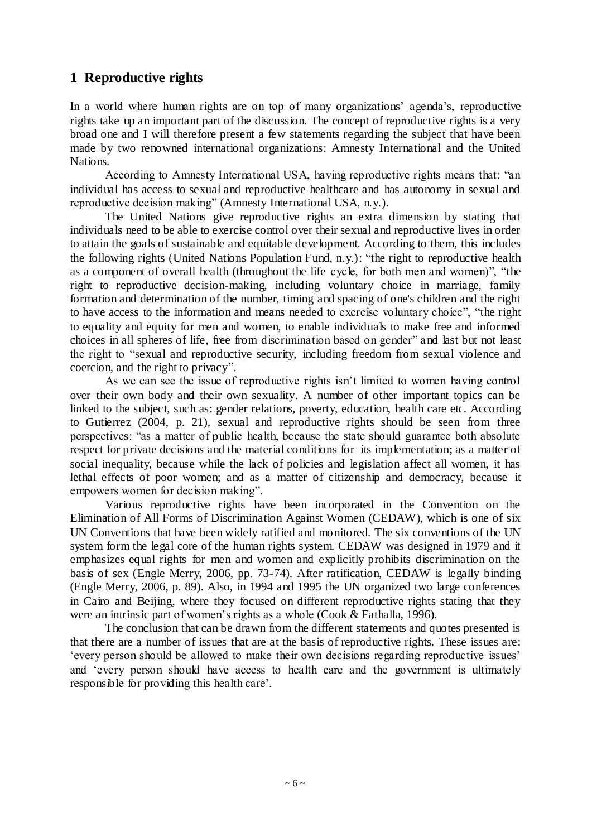## **1 Reproductive rights**

In a world where human rights are on top of many organizations' agenda's, reproductive rights take up an important part of the discussion. The concept of reproductive rights is a very broad one and I will therefore present a few statements regarding the subject that have been made by two renowned international organizations: Amnesty International and the United Nations.

According to Amnesty International USA, having reproductive rights means that: "an individual has access to sexual and reproductive healthcare and has autonomy in sexual and reproductive decision making" (Amnesty International USA, n.y.).

The United Nations give reproductive rights an extra dimension by stating that individuals need to be able to exercise control over their sexual and reproductive lives in order to attain the goals of sustainable and equitable development. According to them, this includes the following rights (United Nations Population Fund, n.y.): "the right to reproductive health as a component of overall health (throughout the life cycle, for both men and women)", "the right to reproductive decision-making, including voluntary choice in marriage, family formation and determination of the number, timing and spacing of one's children and the right to have access to the information and means needed to exercise voluntary choice", "the right to equality and equity for men and women, to enable individuals to make free and informed choices in all spheres of life, free from discrimination based on gender" and last but not least the right to "sexual and reproductive security, including freedom from sexual violence and coercion, and the right to privacy".

As we can see the issue of reproductive rights isn"t limited to women having control over their own body and their own sexuality. A number of other important topics can be linked to the subject, such as: gender relations, poverty, education, health care etc. According to Gutierrez (2004, p. 21), sexual and reproductive rights should be seen from three perspectives: "as a matter of public health, because the state should guarantee both absolute respect for private decisions and the material conditions for its implementation; as a matter of social inequality, because while the lack of policies and legislation affect all women, it has lethal effects of poor women; and as a matter of citizenship and democracy, because it empowers women for decision making".

Various reproductive rights have been incorporated in the Convention on the Elimination of All Forms of Discrimination Against Women (CEDAW), which is one of six UN Conventions that have been widely ratified and monitored. The six conventions of the UN system form the legal core of the human rights system. CEDAW was designed in 1979 and it emphasizes equal rights for men and women and explicitly prohibits discrimination on the basis of sex (Engle Merry, 2006, pp. 73-74). After ratification, CEDAW is legally binding (Engle Merry, 2006, p. 89). Also, in 1994 and 1995 the UN organized two large conferences in Cairo and Beijing, where they focused on different reproductive rights stating that they were an intrinsic part of women"s rights as a whole (Cook & Fathalla, 1996).

The conclusion that can be drawn from the different statements and quotes presented is that there are a number of issues that are at the basis of reproductive rights. These issues are: "every person should be allowed to make their own decisions regarding reproductive issues" and "every person should have access to health care and the government is ultimately responsible for providing this health care".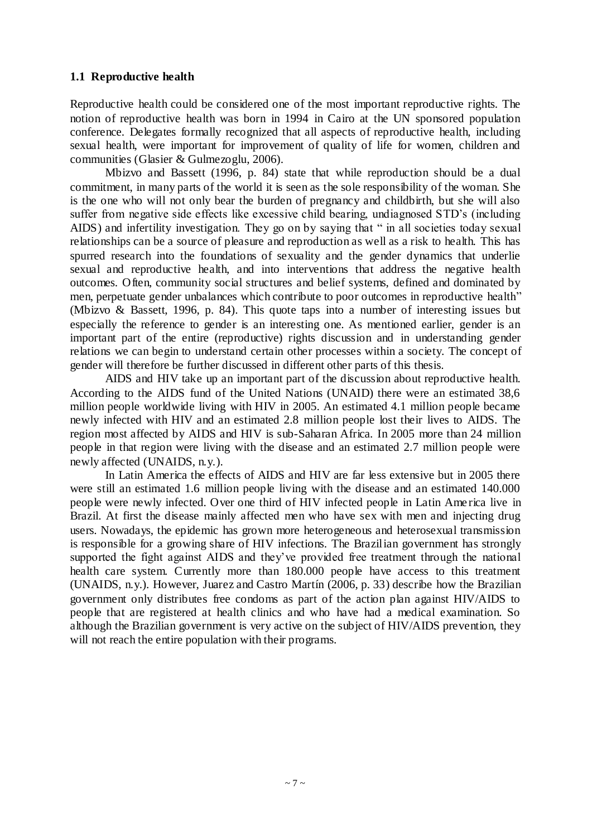#### **1.1 Reproductive health**

Reproductive health could be considered one of the most important reproductive rights. The notion of reproductive health was born in 1994 in Cairo at the UN sponsored population conference. Delegates formally recognized that all aspects of reproductive health, including sexual health, were important for improvement of quality of life for women, children and communities (Glasier & Gulmezoglu, 2006).

Mbizvo and Bassett (1996, p. 84) state that while reproduction should be a dual commitment, in many parts of the world it is seen as the sole responsibility of the woman. She is the one who will not only bear the burden of pregnancy and childbirth, but she will also suffer from negative side effects like excessive child bearing, undiagnosed STD"s (including AIDS) and infertility investigation. They go on by saying that " in all societies today sexual relationships can be a source of pleasure and reproduction as well as a risk to health. This has spurred research into the foundations of sexuality and the gender dynamics that underlie sexual and reproductive health, and into interventions that address the negative health outcomes. Often, community social structures and belief systems, defined and dominated by men, perpetuate gender unbalances which contribute to poor outcomes in reproductive health" (Mbizvo & Bassett, 1996, p. 84). This quote taps into a number of interesting issues but especially the reference to gender is an interesting one. As mentioned earlier, gender is an important part of the entire (reproductive) rights discussion and in understanding gender relations we can begin to understand certain other processes within a society. The concept of gender will therefore be further discussed in different other parts of this thesis.

AIDS and HIV take up an important part of the discussion about reproductive health. According to the AIDS fund of the United Nations (UNAID) there were an estimated 38,6 million people worldwide living with HIV in 2005. An estimated 4.1 million people became newly infected with HIV and an estimated 2.8 million people lost their lives to AIDS. The region most affected by AIDS and HIV is sub-Saharan Africa. In 2005 more than 24 million people in that region were living with the disease and an estimated 2.7 million people were newly affected (UNAIDS, n.y.).

In Latin America the effects of AIDS and HIV are far less extensive but in 2005 there were still an estimated 1.6 million people living with the disease and an estimated 140.000 people were newly infected. Over one third of HIV infected people in Latin Ame rica live in Brazil. At first the disease mainly affected men who have sex with men and injecting drug users. Nowadays, the epidemic has grown more heterogeneous and heterosexual transmission is responsible for a growing share of HIV infections. The Brazilian government has strongly supported the fight against AIDS and they"ve provided free treatment through the national health care system. Currently more than 180.000 people have access to this treatment (UNAIDS, n.y.). However, Juarez and Castro Martín (2006, p. 33) describe how the Brazilian government only distributes free condoms as part of the action plan against HIV/AIDS to people that are registered at health clinics and who have had a medical examination. So although the Brazilian government is very active on the subject of HIV/AIDS prevention, they will not reach the entire population with their programs.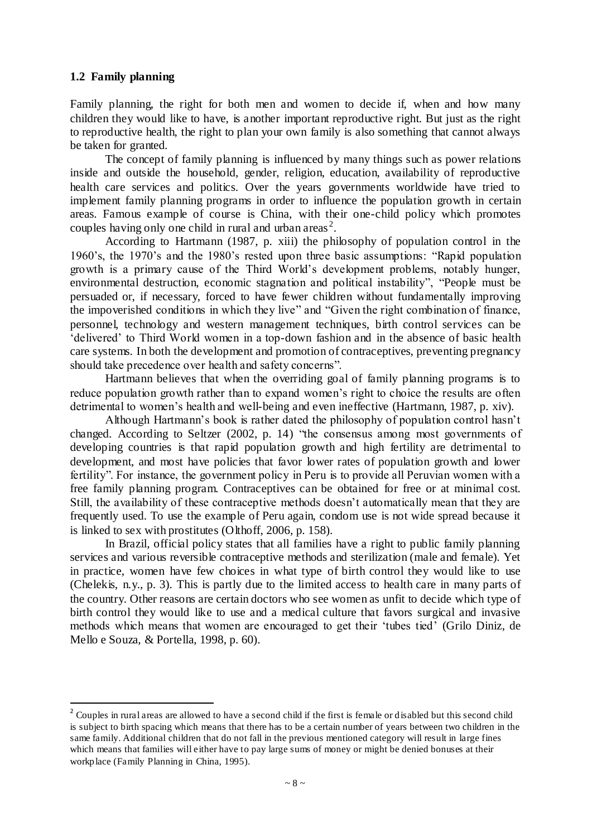#### **1.2 Family planning**

 $\overline{a}$ 

Family planning, the right for both men and women to decide if, when and how many children they would like to have, is another important reproductive right. But just as the right to reproductive health, the right to plan your own family is also something that cannot always be taken for granted.

The concept of family planning is influenced by many things such as power relations inside and outside the household, gender, religion, education, availability of reproductive health care services and politics. Over the years governments worldwide have tried to implement family planning programs in order to influence the population growth in certain areas. Famous example of course is China, with their one-child policy which promotes couples having only one child in rural and urban areas<sup>2</sup>.

According to Hartmann (1987, p. xiii) the philosophy of population control in the 1960"s, the 1970"s and the 1980"s rested upon three basic assumptions: "Rapid population growth is a primary cause of the Third World"s development problems, notably hunger, environmental destruction, economic stagnation and political instability", "People must be persuaded or, if necessary, forced to have fewer children without fundamentally improving the impoverished conditions in which they live" and "Given the right combination of finance, personnel, technology and western management techniques, birth control services can be "delivered" to Third World women in a top-down fashion and in the absence of basic health care systems. In both the development and promotion of contraceptives, preventing pregnancy should take precedence over health and safety concerns".

Hartmann believes that when the overriding goal of family planning programs is to reduce population growth rather than to expand women's right to choice the results are often detrimental to women's health and well-being and even ineffective (Hartmann, 1987, p. xiv).

Although Hartmann"s book is rather dated the philosophy of population control hasn"t changed. According to Seltzer (2002, p. 14) "the consensus among most governments of developing countries is that rapid population growth and high fertility are detrimental to development, and most have policies that favor lower rates of population growth and lower fertility". For instance, the government policy in Peru is to provide all Peruvian women with a free family planning program. Contraceptives can be obtained for free or at minimal cost. Still, the availability of these contraceptive methods doesn't automatically mean that they are frequently used. To use the example of Peru again, condom use is not wide spread because it is linked to sex with prostitutes (Olthoff, 2006, p. 158).

In Brazil, official policy states that all families have a right to public family planning services and various reversible contraceptive methods and sterilization (male and female). Yet in practice, women have few choices in what type of birth control they would like to use (Chelekis, n.y., p. 3). This is partly due to the limited access to health care in many parts of the country. Other reasons are certain doctors who see women as unfit to decide which type of birth control they would like to use and a medical culture that favors surgical and invasive methods which means that women are encouraged to get their "tubes tied" (Grilo Diniz, de Mello e Souza, & Portella, 1998, p. 60).

 $2^2$  Couples in rural areas are allowed to have a second child if the first is female or disabled but this second child is subject to birth spacing which means that there has to be a certain number of years between two children in the same family. Additional children that do not fall in the previous mentioned category will result in large fines which means that families will either have to pay large sums of money or might be denied bonuses at their workplace (Family Planning in China, 1995).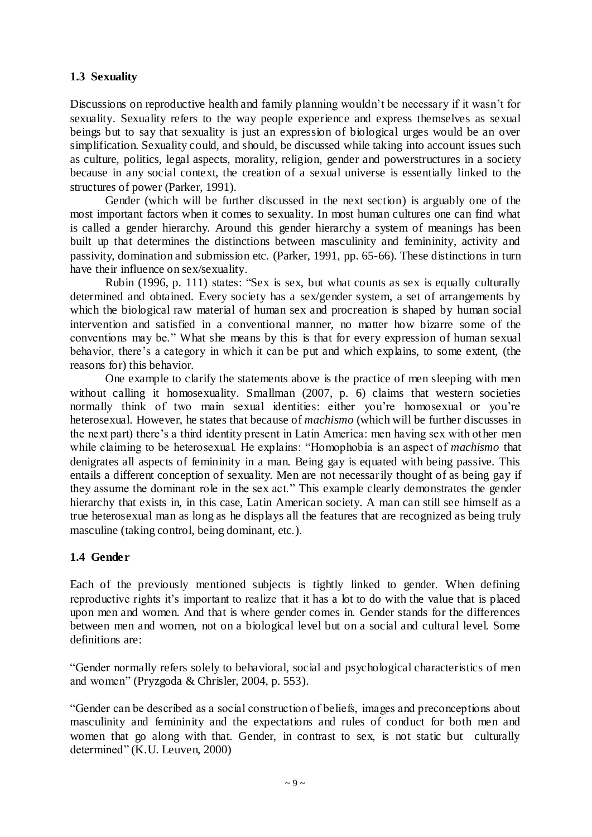#### **1.3 Sexuality**

Discussions on reproductive health and family planning wouldn't be necessary if it wasn't for sexuality. Sexuality refers to the way people experience and express themselves as sexual beings but to say that sexuality is just an expression of biological urges would be an over simplification. Sexuality could, and should, be discussed while taking into account issues such as culture, politics, legal aspects, morality, religion, gender and powerstructures in a society because in any social context, the creation of a sexual universe is essentially linked to the structures of power (Parker, 1991).

Gender (which will be further discussed in the next section) is arguably one of the most important factors when it comes to sexuality. In most human cultures one can find what is called a gender hierarchy. Around this gender hierarchy a system of meanings has been built up that determines the distinctions between masculinity and femininity, activity and passivity, domination and submission etc. (Parker, 1991, pp. 65-66). These distinctions in turn have their influence on sex/sexuality.

Rubin (1996, p. 111) states: "Sex is sex, but what counts as sex is equally culturally determined and obtained. Every society has a sex/gender system, a set of arrangements by which the biological raw material of human sex and procreation is shaped by human social intervention and satisfied in a conventional manner, no matter how bizarre some of the conventions may be." What she means by this is that for every expression of human sexual behavior, there's a category in which it can be put and which explains, to some extent, (the reasons for) this behavior.

One example to clarify the statements above is the practice of men sleeping with men without calling it homosexuality. Smallman (2007, p. 6) claims that western societies normally think of two main sexual identities: either you're homosexual or you're heterosexual. However, he states that because of *machismo* (which will be further discusses in the next part) there"s a third identity present in Latin America: men having sex with other men while claiming to be heterosexual. He explains: "Homophobia is an aspect of *machismo* that denigrates all aspects of femininity in a man. Being gay is equated with being passive. This entails a different conception of sexuality. Men are not necessarily thought of as being gay if they assume the dominant role in the sex act." This example clearly demonstrates the gender hierarchy that exists in, in this case, Latin American society. A man can still see himself as a true heterosexual man as long as he displays all the features that are recognized as being truly masculine (taking control, being dominant, etc.).

### **1.4 Gender**

Each of the previously mentioned subjects is tightly linked to gender. When defining reproductive rights it"s important to realize that it has a lot to do with the value that is placed upon men and women. And that is where gender comes in. Gender stands for the differences between men and women, not on a biological level but on a social and cultural level. Some definitions are:

"Gender normally refers solely to behavioral, social and psychological characteristics of men and women" (Pryzgoda & Chrisler, 2004, p. 553).

"Gender can be described as a social construction of beliefs, images and preconceptions about masculinity and femininity and the expectations and rules of conduct for both men and women that go along with that. Gender, in contrast to sex, is not static but culturally determined" (K.U. Leuven, 2000)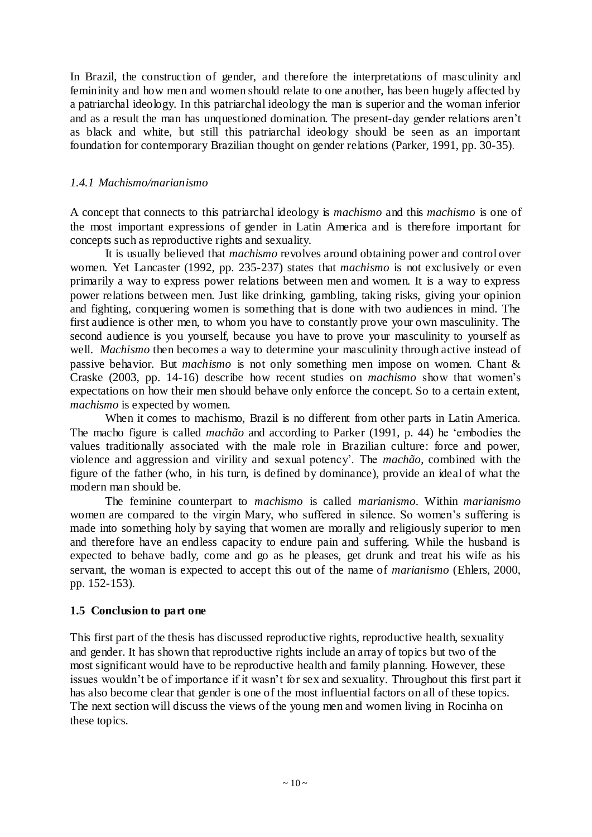In Brazil, the construction of gender, and therefore the interpretations of masculinity and femininity and how men and women should relate to one another, has been hugely affected by a patriarchal ideology. In this patriarchal ideology the man is superior and the woman inferior and as a result the man has unquestioned domination. The present-day gender relations aren"t as black and white, but still this patriarchal ideology should be seen as an important foundation for contemporary Brazilian thought on gender relations (Parker, 1991, pp. 30-35).

#### *1.4.1 Machismo/marianismo*

A concept that connects to this patriarchal ideology is *machismo* and this *machismo* is one of the most important expressions of gender in Latin America and is therefore important for concepts such as reproductive rights and sexuality.

It is usually believed that *machismo* revolves around obtaining power and control over women. Yet Lancaster (1992, pp. 235-237) states that *machismo* is not exclusively or even primarily a way to express power relations between men and women. It is a way to express power relations between men. Just like drinking, gambling, taking risks, giving your opinion and fighting, conquering women is something that is done with two audiences in mind. The first audience is other men, to whom you have to constantly prove your own masculinity. The second audience is you yourself, because you have to prove your masculinity to yourself as well. *Machismo* then becomes a way to determine your masculinity through active instead of passive behavior. But *machismo* is not only something men impose on women. Chant & Craske (2003, pp. 14-16) describe how recent studies on *machismo* show that women"s expectations on how their men should behave only enforce the concept. So to a certain extent, *machismo* is expected by women.

When it comes to machismo, Brazil is no different from other parts in Latin America. The macho figure is called *machão* and according to Parker (1991, p. 44) he "embodies the values traditionally associated with the male role in Brazilian culture: force and power, violence and aggression and virility and sexual potency". The *machão*, combined with the figure of the father (who, in his turn, is defined by dominance), provide an ideal of what the modern man should be.

The feminine counterpart to *machismo* is called *marianismo*. Within *marianismo* women are compared to the virgin Mary, who suffered in silence. So women"s suffering is made into something holy by saying that women are morally and religiously superior to men and therefore have an endless capacity to endure pain and suffering. While the husband is expected to behave badly, come and go as he pleases, get drunk and treat his wife as his servant, the woman is expected to accept this out of the name of *marianismo* (Ehlers, 2000, pp. 152-153).

#### **1.5 Conclusion to part one**

This first part of the thesis has discussed reproductive rights, reproductive health, sexuality and gender. It has shown that reproductive rights include an array of topics but two of the most significant would have to be reproductive health and family planning. However, these issues wouldn"t be of importance if it wasn"t for sex and sexuality. Throughout this first part it has also become clear that gender is one of the most influential factors on all of these topics. The next section will discuss the views of the young men and women living in Rocinha on these topics.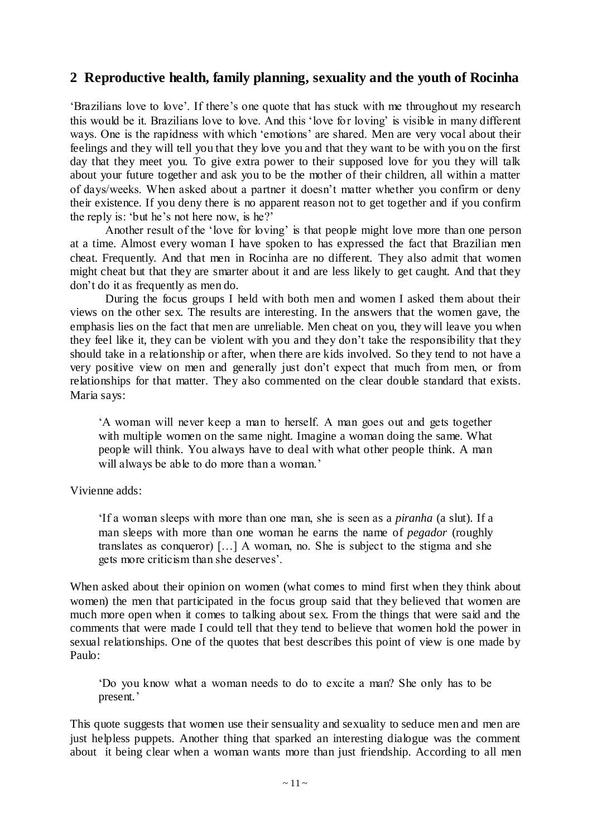## **2 Reproductive health, family planning, sexuality and the youth of Rocinha**

"Brazilians love to love". If there"s one quote that has stuck with me throughout my research this would be it. Brazilians love to love. And this "love for loving" is visible in many different ways. One is the rapidness with which 'emotions' are shared. Men are very vocal about their feelings and they will tell you that they love you and that they want to be with you on the first day that they meet you. To give extra power to their supposed love for you they will talk about your future together and ask you to be the mother of their children, all within a matter of days/weeks. When asked about a partner it doesn"t matter whether you confirm or deny their existence. If you deny there is no apparent reason not to get together and if you confirm the reply is: "but he"s not here now, is he?"

Another result of the "love for loving" is that people might love more than one person at a time. Almost every woman I have spoken to has expressed the fact that Brazilian men cheat. Frequently. And that men in Rocinha are no different. They also admit that women might cheat but that they are smarter about it and are less likely to get caught. And that they don"t do it as frequently as men do.

During the focus groups I held with both men and women I asked them about their views on the other sex. The results are interesting. In the answers that the women gave, the emphasis lies on the fact that men are unreliable. Men cheat on you, they will leave you when they feel like it, they can be violent with you and they don"t take the responsibility that they should take in a relationship or after, when there are kids involved. So they tend to not have a very positive view on men and generally just don"t expect that much from men, or from relationships for that matter. They also commented on the clear double standard that exists. Maria says:

"A woman will never keep a man to herself. A man goes out and gets together with multiple women on the same night. Imagine a woman doing the same. What people will think. You always have to deal with what other people think. A man will always be able to do more than a woman.'

Vivienne adds:

"If a woman sleeps with more than one man, she is seen as a *piranha* (a slut). If a man sleeps with more than one woman he earns the name of *pegador* (roughly translates as conqueror) […] A woman, no. She is subject to the stigma and she gets more criticism than she deserves".

When asked about their opinion on women (what comes to mind first when they think about women) the men that participated in the focus group said that they believed that women are much more open when it comes to talking about sex. From the things that were said and the comments that were made I could tell that they tend to believe that women hold the power in sexual relationships. One of the quotes that best describes this point of view is one made by Paulo:

"Do you know what a woman needs to do to excite a man? She only has to be present.'

This quote suggests that women use their sensuality and sexuality to seduce men and men are just helpless puppets. Another thing that sparked an interesting dialogue was the comment about it being clear when a woman wants more than just friendship. According to all men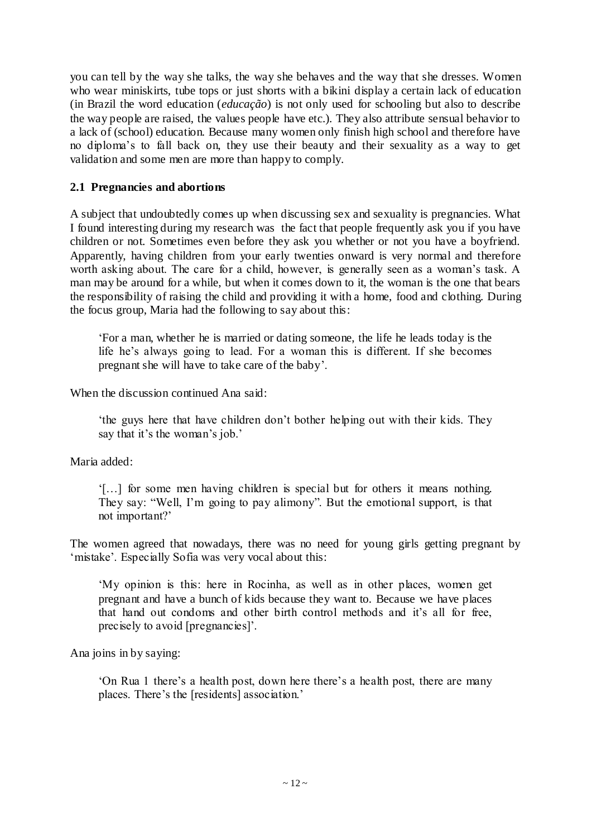you can tell by the way she talks, the way she behaves and the way that she dresses. Women who wear miniskirts, tube tops or just shorts with a bikini display a certain lack of education (in Brazil the word education (*educação*) is not only used for schooling but also to describe the way people are raised, the values people have etc.). They also attribute sensual behavior to a lack of (school) education. Because many women only finish high school and therefore have no diploma"s to fall back on, they use their beauty and their sexuality as a way to get validation and some men are more than happy to comply.

#### **2.1 Pregnancies and abortions**

A subject that undoubtedly comes up when discussing sex and sexuality is pregnancies. What I found interesting during my research was the fact that people frequently ask you if you have children or not. Sometimes even before they ask you whether or not you have a boyfriend. Apparently, having children from your early twenties onward is very normal and therefore worth asking about. The care for a child, however, is generally seen as a woman's task. A man may be around for a while, but when it comes down to it, the woman is the one that bears the responsibility of raising the child and providing it with a home, food and clothing. During the focus group, Maria had the following to say about this:

"For a man, whether he is married or dating someone, the life he leads today is the life he's always going to lead. For a woman this is different. If she becomes pregnant she will have to take care of the baby".

When the discussion continued Ana said:

"the guys here that have children don"t bother helping out with their kids. They say that it's the woman's job.'

Maria added:

"[…] for some men having children is special but for others it means nothing. They say: "Well, I'm going to pay alimony". But the emotional support, is that not important?"

The women agreed that nowadays, there was no need for young girls getting pregnant by 'mistake'. Especially Sofia was very vocal about this:

"My opinion is this: here in Rocinha, as well as in other places, women get pregnant and have a bunch of kids because they want to. Because we have places that hand out condoms and other birth control methods and it"s all for free, precisely to avoid [pregnancies]".

Ana joins in by saying:

"On Rua 1 there"s a health post, down here there"s a health post, there are many places. There"s the [residents] association."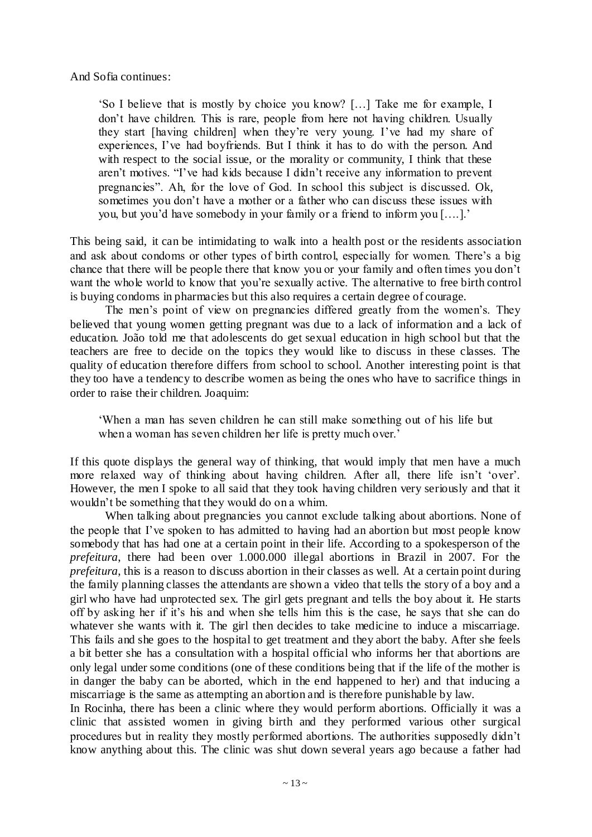And Sofia continues:

"So I believe that is mostly by choice you know? […] Take me for example, I don"t have children. This is rare, people from here not having children. Usually they start [having children] when they"re very young. I"ve had my share of experiences, I've had boyfriends. But I think it has to do with the person. And with respect to the social issue, or the morality or community, I think that these aren"t motives. "I"ve had kids because I didn"t receive any information to prevent pregnancies". Ah, for the love of God. In school this subject is discussed. Ok, sometimes you don't have a mother or a father who can discuss these issues with you, but you"d have somebody in your family or a friend to inform you [….]."

This being said, it can be intimidating to walk into a health post or the residents association and ask about condoms or other types of birth control, especially for women. There"s a big chance that there will be people there that know you or your family and often times you don"t want the whole world to know that you"re sexually active. The alternative to free birth control is buying condoms in pharmacies but this also requires a certain degree of courage.

The men's point of view on pregnancies differed greatly from the women's. They believed that young women getting pregnant was due to a lack of information and a lack of education. João told me that adolescents do get sexual education in high school but that the teachers are free to decide on the topics they would like to discuss in these classes. The quality of education therefore differs from school to school. Another interesting point is that they too have a tendency to describe women as being the ones who have to sacrifice things in order to raise their children. Joaquim:

"When a man has seven children he can still make something out of his life but when a woman has seven children her life is pretty much over.'

If this quote displays the general way of thinking, that would imply that men have a much more relaxed way of thinking about having children. After all, there life isn't 'over'. However, the men I spoke to all said that they took having children very seriously and that it wouldn"t be something that they would do on a whim.

When talking about pregnancies you cannot exclude talking about abortions. None of the people that I"ve spoken to has admitted to having had an abortion but most people know somebody that has had one at a certain point in their life. According to a spokesperson of the *prefeitura*, there had been over 1.000.000 illegal abortions in Brazil in 2007. For the *prefeitura*, this is a reason to discuss abortion in their classes as well. At a certain point during the family planning classes the attendants are shown a video that tells the story of a boy and a girl who have had unprotected sex. The girl gets pregnant and tells the boy about it. He starts off by asking her if it"s his and when she tells him this is the case, he says that she can do whatever she wants with it. The girl then decides to take medicine to induce a miscarriage. This fails and she goes to the hospital to get treatment and they abort the baby. After she feels a bit better she has a consultation with a hospital official who informs her that abortions are only legal under some conditions (one of these conditions being that if the life of the mother is in danger the baby can be aborted, which in the end happened to her) and that inducing a miscarriage is the same as attempting an abortion and is therefore punishable by law.

In Rocinha, there has been a clinic where they would perform abortions. Officially it was a clinic that assisted women in giving birth and they performed various other surgical procedures but in reality they mostly performed abortions. The authorities supposedly didn"t know anything about this. The clinic was shut down several years ago because a father had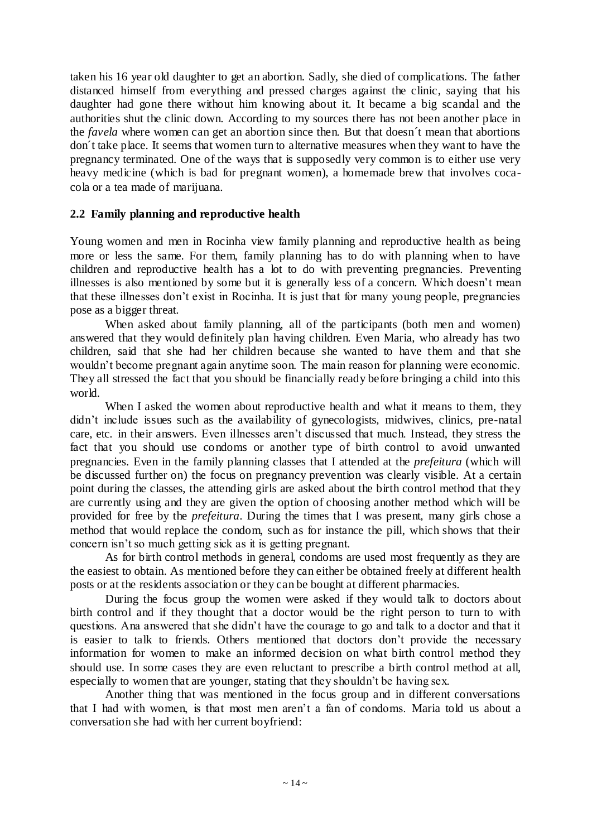taken his 16 year old daughter to get an abortion. Sadly, she died of complications. The father distanced himself from everything and pressed charges against the clinic, saying that his daughter had gone there without him knowing about it. It became a big scandal and the authorities shut the clinic down. According to my sources there has not been another place in the *favela* where women can get an abortion since then. But that doesn´t mean that abortions don´t take place. It seems that women turn to alternative measures when they want to have the pregnancy terminated. One of the ways that is supposedly very common is to either use very heavy medicine (which is bad for pregnant women), a homemade brew that involves cocacola or a tea made of marijuana.

#### **2.2 Family planning and reproductive health**

Young women and men in Rocinha view family planning and reproductive health as being more or less the same. For them, family planning has to do with planning when to have children and reproductive health has a lot to do with preventing pregnancies. Preventing illnesses is also mentioned by some but it is generally less of a concern. Which doesn"t mean that these illnesses don"t exist in Rocinha. It is just that for many young people, pregnancies pose as a bigger threat.

When asked about family planning, all of the participants (both men and women) answered that they would definitely plan having children. Even Maria, who already has two children, said that she had her children because she wanted to have them and that she wouldn't become pregnant again anytime soon. The main reason for planning were economic. They all stressed the fact that you should be financially ready before bringing a child into this world.

When I asked the women about reproductive health and what it means to them, they didn't include issues such as the availability of gynecologists, midwives, clinics, pre-natal care, etc. in their answers. Even illnesses aren"t discussed that much. Instead, they stress the fact that you should use condoms or another type of birth control to avoid unwanted pregnancies. Even in the family planning classes that I attended at the *prefeitura* (which will be discussed further on) the focus on pregnancy prevention was clearly visible. At a certain point during the classes, the attending girls are asked about the birth control method that they are currently using and they are given the option of choosing another method which will be provided for free by the *prefeitura*. During the times that I was present, many girls chose a method that would replace the condom, such as for instance the pill, which shows that their concern isn"t so much getting sick as it is getting pregnant.

As for birth control methods in general, condoms are used most frequently as they are the easiest to obtain. As mentioned before they can either be obtained freely at different health posts or at the residents association or they can be bought at different pharmacies.

During the focus group the women were asked if they would talk to doctors about birth control and if they thought that a doctor would be the right person to turn to with questions. Ana answered that she didn"t have the courage to go and talk to a doctor and that it is easier to talk to friends. Others mentioned that doctors don"t provide the necessary information for women to make an informed decision on what birth control method they should use. In some cases they are even reluctant to prescribe a birth control method at all, especially to women that are younger, stating that they shouldn"t be having sex.

Another thing that was mentioned in the focus group and in different conversations that I had with women, is that most men aren"t a fan of condoms. Maria told us about a conversation she had with her current boyfriend: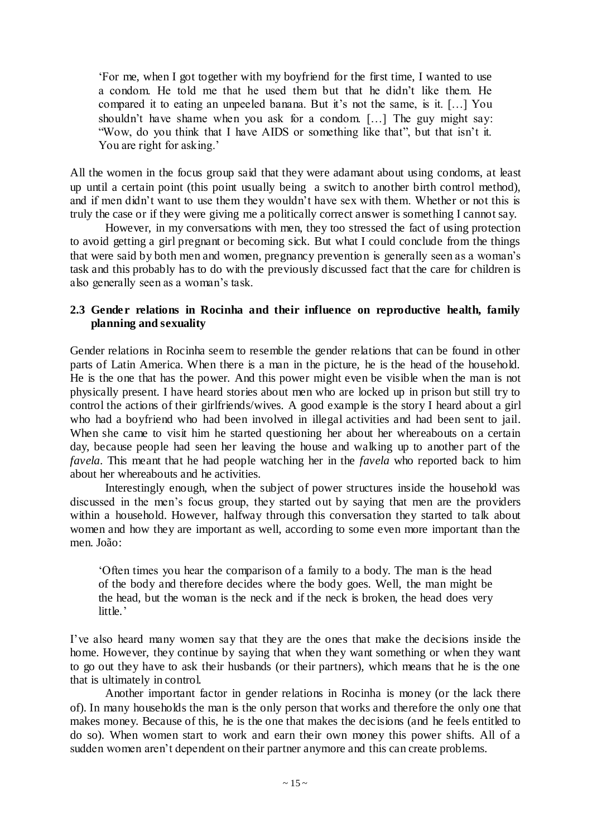"For me, when I got together with my boyfriend for the first time, I wanted to use a condom. He told me that he used them but that he didn"t like them. He compared it to eating an unpeeled banana. But it's not the same, is it. [...] You shouldn"t have shame when you ask for a condom. […] The guy might say: "Wow, do you think that I have AIDS or something like that", but that isn"t it. You are right for asking.'

All the women in the focus group said that they were adamant about using condoms, at least up until a certain point (this point usually being a switch to another birth control method), and if men didn"t want to use them they wouldn"t have sex with them. Whether or not this is truly the case or if they were giving me a politically correct answer is something I cannot say.

However, in my conversations with men, they too stressed the fact of using protection to avoid getting a girl pregnant or becoming sick. But what I could conclude from the things that were said by both men and women, pregnancy prevention is generally seen as a woman"s task and this probably has to do with the previously discussed fact that the care for children is also generally seen as a woman"s task.

#### **2.3 Gender relations in Rocinha and their influence on reproductive health, family planning and sexuality**

Gender relations in Rocinha seem to resemble the gender relations that can be found in other parts of Latin America. When there is a man in the picture, he is the head of the household. He is the one that has the power. And this power might even be visible when the man is not physically present. I have heard stories about men who are locked up in prison but still try to control the actions of their girlfriends/wives. A good example is the story I heard about a girl who had a boyfriend who had been involved in illegal activities and had been sent to jail. When she came to visit him he started questioning her about her whereabouts on a certain day, because people had seen her leaving the house and walking up to another part of the *favela*. This meant that he had people watching her in the *favela* who reported back to him about her whereabouts and he activities.

Interestingly enough, when the subject of power structures inside the household was discussed in the men's focus group, they started out by saying that men are the providers within a household. However, halfway through this conversation they started to talk about women and how they are important as well, according to some even more important than the men. João:

"Often times you hear the comparison of a family to a body. The man is the head of the body and therefore decides where the body goes. Well, the man might be the head, but the woman is the neck and if the neck is broken, the head does very little.'

I"ve also heard many women say that they are the ones that make the decisions inside the home. However, they continue by saying that when they want something or when they want to go out they have to ask their husbands (or their partners), which means that he is the one that is ultimately in control.

Another important factor in gender relations in Rocinha is money (or the lack there of). In many households the man is the only person that works and therefore the only one that makes money. Because of this, he is the one that makes the decisions (and he feels entitled to do so). When women start to work and earn their own money this power shifts. All of a sudden women aren't dependent on their partner anymore and this can create problems.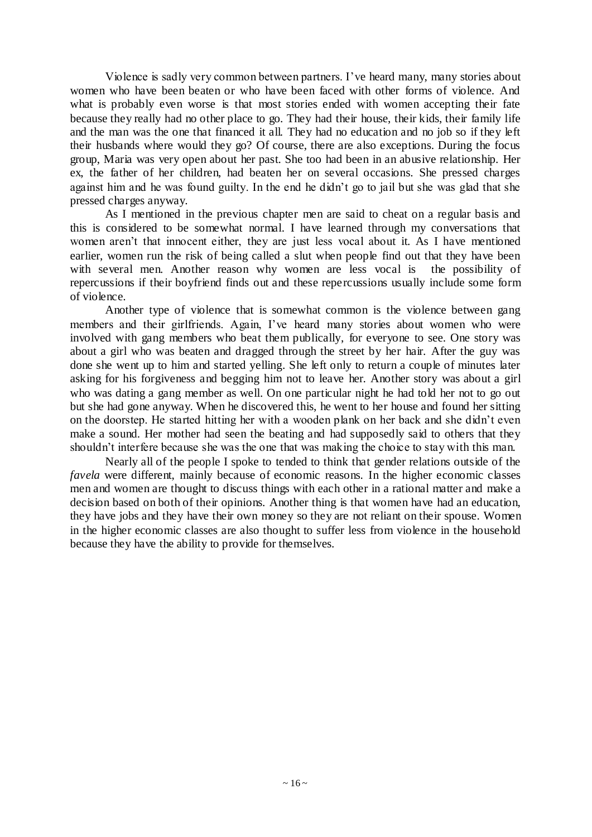Violence is sadly very common between partners. I"ve heard many, many stories about women who have been beaten or who have been faced with other forms of violence. And what is probably even worse is that most stories ended with women accepting their fate because they really had no other place to go. They had their house, their kids, their family life and the man was the one that financed it all. They had no education and no job so if they left their husbands where would they go? Of course, there are also exceptions. During the focus group, Maria was very open about her past. She too had been in an abusive relationship. Her ex, the father of her children, had beaten her on several occasions. She pressed charges against him and he was found guilty. In the end he didn"t go to jail but she was glad that she pressed charges anyway.

As I mentioned in the previous chapter men are said to cheat on a regular basis and this is considered to be somewhat normal. I have learned through my conversations that women aren"t that innocent either, they are just less vocal about it. As I have mentioned earlier, women run the risk of being called a slut when people find out that they have been<br>with several men. Another reason why women are less vocal is the possibility of with several men. Another reason why women are less vocal is repercussions if their boyfriend finds out and these repercussions usually include some form of violence.

Another type of violence that is somewhat common is the violence between gang members and their girlfriends. Again, I"ve heard many stories about women who were involved with gang members who beat them publically, for everyone to see. One story was about a girl who was beaten and dragged through the street by her hair. After the guy was done she went up to him and started yelling. She left only to return a couple of minutes later asking for his forgiveness and begging him not to leave her. Another story was about a girl who was dating a gang member as well. On one particular night he had told her not to go out but she had gone anyway. When he discovered this, he went to her house and found her sitting on the doorstep. He started hitting her with a wooden plank on her back and she didn"t even make a sound. Her mother had seen the beating and had supposedly said to others that they shouldn't interfere because she was the one that was making the choice to stay with this man.

Nearly all of the people I spoke to tended to think that gender relations outside of the *favela* were different, mainly because of economic reasons. In the higher economic classes men and women are thought to discuss things with each other in a rational matter and make a decision based on both of their opinions. Another thing is that women have had an education, they have jobs and they have their own money so they are not reliant on their spouse. Women in the higher economic classes are also thought to suffer less from violence in the household because they have the ability to provide for themselves.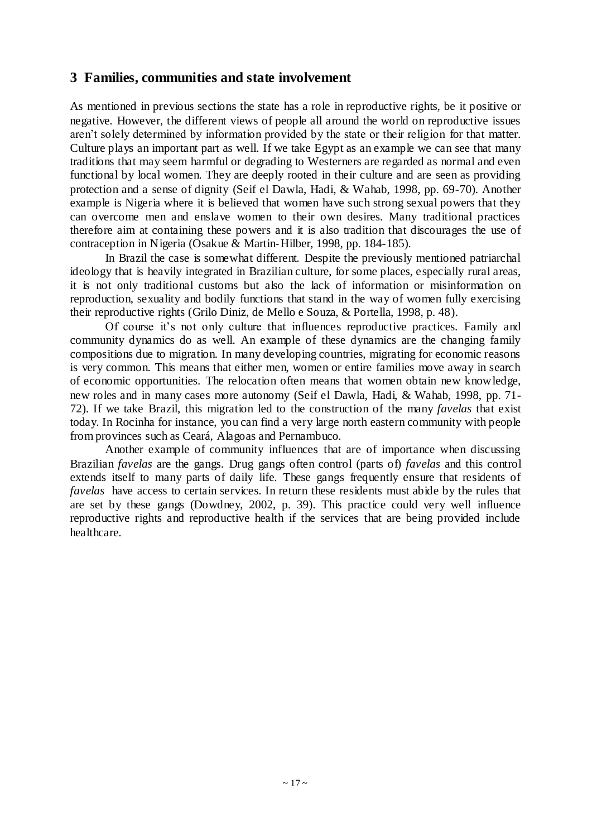## **3 Families, communities and state involvement**

As mentioned in previous sections the state has a role in reproductive rights, be it positive or negative. However, the different views of people all around the world on reproductive issues aren"t solely determined by information provided by the state or their religion for that matter. Culture plays an important part as well. If we take Egypt as an example we can see that many traditions that may seem harmful or degrading to Westerners are regarded as normal and even functional by local women. They are deeply rooted in their culture and are seen as providing protection and a sense of dignity (Seif el Dawla, Hadi, & Wahab, 1998, pp. 69-70). Another example is Nigeria where it is believed that women have such strong sexual powers that they can overcome men and enslave women to their own desires. Many traditional practices therefore aim at containing these powers and it is also tradition that discourages the use of contraception in Nigeria (Osakue & Martin-Hilber, 1998, pp. 184-185).

In Brazil the case is somewhat different. Despite the previously mentioned patriarchal ideology that is heavily integrated in Brazilian culture, for some places, especially rural areas, it is not only traditional customs but also the lack of information or misinformation on reproduction, sexuality and bodily functions that stand in the way of women fully exercising their reproductive rights (Grilo Diniz, de Mello e Souza, & Portella, 1998, p. 48).

Of course it's not only culture that influences reproductive practices. Family and community dynamics do as well. An example of these dynamics are the changing family compositions due to migration. In many developing countries, migrating for economic reasons is very common. This means that either men, women or entire families move away in search of economic opportunities. The relocation often means that women obtain new knowledge, new roles and in many cases more autonomy (Seif el Dawla, Hadi, & Wahab, 1998, pp. 71- 72). If we take Brazil, this migration led to the construction of the many *favelas* that exist today. In Rocinha for instance, you can find a very large north eastern community with people from provinces such as Ceará, Alagoas and Pernambuco.

Another example of community influences that are of importance when discussing Brazilian *favelas* are the gangs. Drug gangs often control (parts of) *favelas* and this control extends itself to many parts of daily life. These gangs frequently ensure that residents of *favelas* have access to certain services. In return these residents must abide by the rules that are set by these gangs (Dowdney, 2002, p. 39). This practice could very well influence reproductive rights and reproductive health if the services that are being provided include healthcare.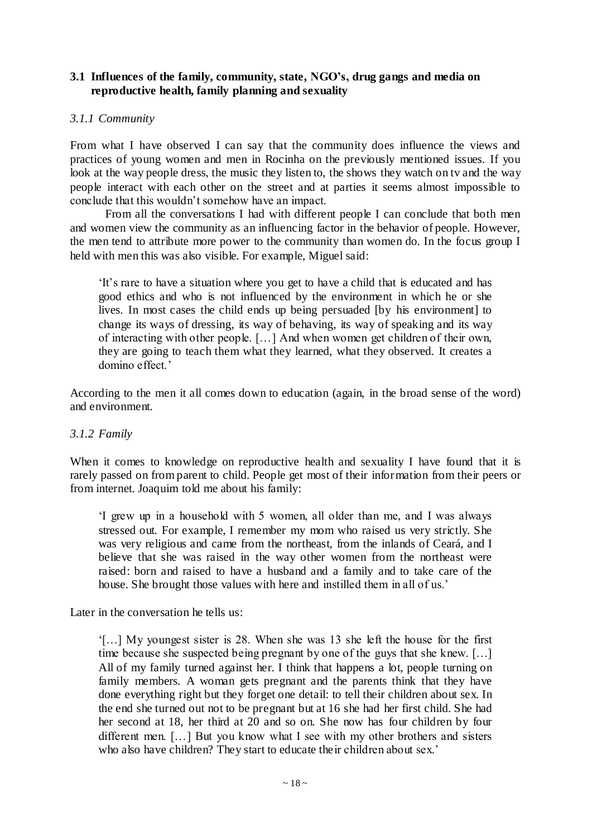#### **3.1 Influences of the family, community, state, NGO's, drug gangs and media on reproductive health, family planning and sexuality**

#### *3.1.1 Community*

From what I have observed I can say that the community does influence the views and practices of young women and men in Rocinha on the previously mentioned issues. If you look at the way people dress, the music they listen to, the shows they watch on tv and the way people interact with each other on the street and at parties it seems almost impossible to conclude that this wouldn"t somehow have an impact.

From all the conversations I had with different people I can conclude that both men and women view the community as an influencing factor in the behavior of people. However, the men tend to attribute more power to the community than women do. In the focus group I held with men this was also visible. For example, Miguel said:

"It"s rare to have a situation where you get to have a child that is educated and has good ethics and who is not influenced by the environment in which he or she lives. In most cases the child ends up being persuaded [by his environment] to change its ways of dressing, its way of behaving, its way of speaking and its way of interacting with other people. […] And when women get children of their own, they are going to teach them what they learned, what they observed. It creates a domino effect.'

According to the men it all comes down to education (again, in the broad sense of the word) and environment.

#### *3.1.2 Family*

When it comes to knowledge on reproductive health and sexuality I have found that it is rarely passed on from parent to child. People get most of their information from their peers or from internet. Joaquim told me about his family:

"I grew up in a household with 5 women, all older than me, and I was always stressed out. For example, I remember my mom who raised us very strictly. She was very religious and came from the northeast, from the inlands of Ceará, and I believe that she was raised in the way other women from the northeast were raised: born and raised to have a husband and a family and to take care of the house. She brought those values with here and instilled them in all of us.'

Later in the conversation he tells us:

"[…] My youngest sister is 28. When she was 13 she left the house for the first time because she suspected being pregnant by one of the guys that she knew. […] All of my family turned against her. I think that happens a lot, people turning on family members. A woman gets pregnant and the parents think that they have done everything right but they forget one detail: to tell their children about sex. In the end she turned out not to be pregnant but at 16 she had her first child. She had her second at 18, her third at 20 and so on. She now has four children by four different men. […] But you know what I see with my other brothers and sisters who also have children? They start to educate their children about sex.'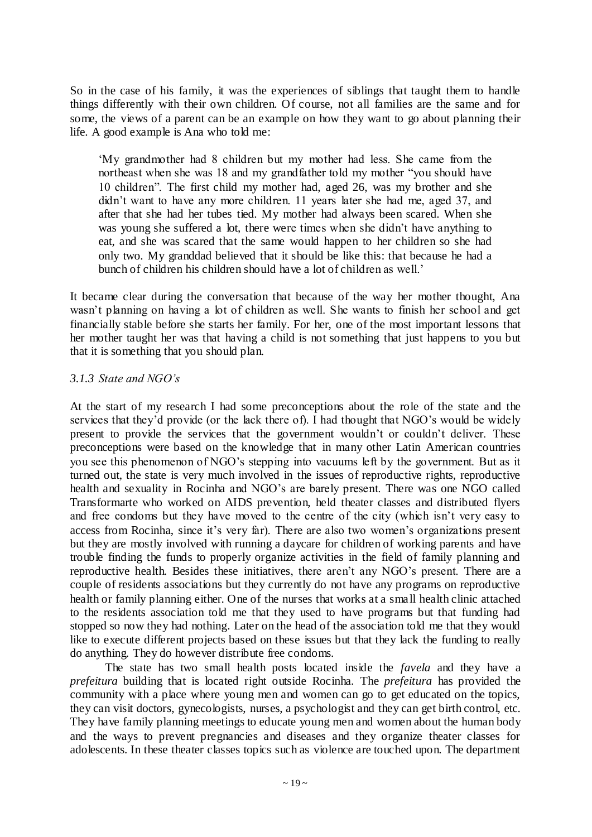So in the case of his family, it was the experiences of siblings that taught them to handle things differently with their own children. Of course, not all families are the same and for some, the views of a parent can be an example on how they want to go about planning their life. A good example is Ana who told me:

"My grandmother had 8 children but my mother had less. She came from the northeast when she was 18 and my grandfather told my mother "you should have 10 children". The first child my mother had, aged 26, was my brother and she didn"t want to have any more children. 11 years later she had me, aged 37, and after that she had her tubes tied. My mother had always been scared. When she was young she suffered a lot, there were times when she didn"t have anything to eat, and she was scared that the same would happen to her children so she had only two. My granddad believed that it should be like this: that because he had a bunch of children his children should have a lot of children as well."

It became clear during the conversation that because of the way her mother thought, Ana wasn"t planning on having a lot of children as well. She wants to finish her school and get financially stable before she starts her family. For her, one of the most important lessons that her mother taught her was that having a child is not something that just happens to you but that it is something that you should plan.

#### *3.1.3 State and NGO's*

At the start of my research I had some preconceptions about the role of the state and the services that they'd provide (or the lack there of). I had thought that NGO's would be widely present to provide the services that the government wouldn"t or couldn"t deliver. These preconceptions were based on the knowledge that in many other Latin American countries you see this phenomenon of NGO"s stepping into vacuums left by the government. But as it turned out, the state is very much involved in the issues of reproductive rights, reproductive health and sexuality in Rocinha and NGO"s are barely present. There was one NGO called Transformarte who worked on AIDS prevention, held theater classes and distributed flyers and free condoms but they have moved to the centre of the city (which isn"t very easy to access from Rocinha, since it's very far). There are also two women's organizations present but they are mostly involved with running a daycare for children of working parents and have trouble finding the funds to properly organize activities in the field of family planning and reproductive health. Besides these initiatives, there aren"t any NGO"s present. There are a couple of residents associations but they currently do not have any programs on reproductive health or family planning either. One of the nurses that works at a sma ll health clinic attached to the residents association told me that they used to have programs but that funding had stopped so now they had nothing. Later on the head of the association told me that they would like to execute different projects based on these issues but that they lack the funding to really do anything. They do however distribute free condoms.

The state has two small health posts located inside the *favela* and they have a *prefeitura* building that is located right outside Rocinha. The *prefeitura* has provided the community with a place where young men and women can go to get educated on the topics, they can visit doctors, gynecologists, nurses, a psychologist and they can get birth control, etc. They have family planning meetings to educate young men and women about the human body and the ways to prevent pregnancies and diseases and they organize theater classes for adolescents. In these theater classes topics such as violence are touched upon. The department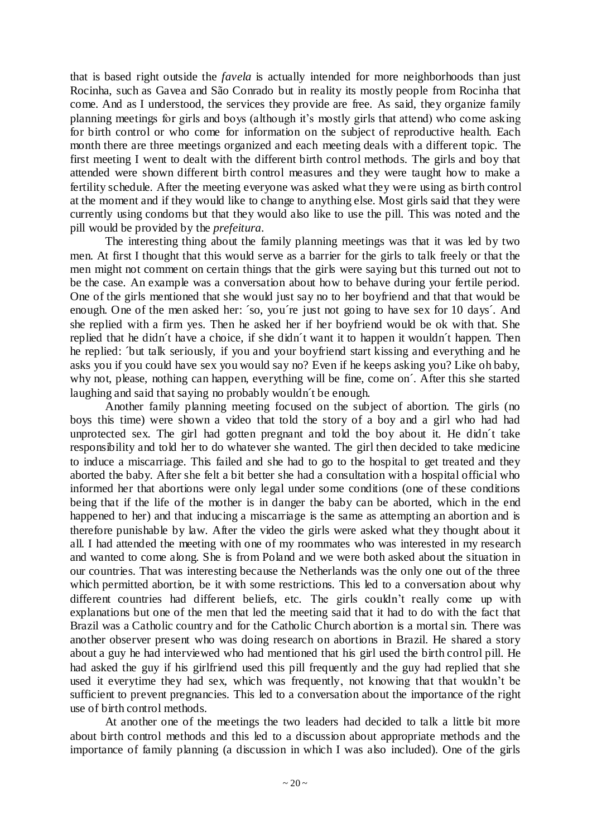that is based right outside the *favela* is actually intended for more neighborhoods than just Rocinha, such as Gavea and São Conrado but in reality its mostly people from Rocinha that come. And as I understood, the services they provide are free. As said, they organize family planning meetings for girls and boys (although it"s mostly girls that attend) who come asking for birth control or who come for information on the subject of reproductive health. Each month there are three meetings organized and each meeting deals with a different topic. The first meeting I went to dealt with the different birth control methods. The girls and boy that attended were shown different birth control measures and they were taught how to make a fertility schedule. After the meeting everyone was asked what they we re using as birth control at the moment and if they would like to change to anything else. Most girls said that they were currently using condoms but that they would also like to use the pill. This was noted and the pill would be provided by the *prefeitura*.

The interesting thing about the family planning meetings was that it was led by two men. At first I thought that this would serve as a barrier for the girls to talk freely or that the men might not comment on certain things that the girls were saying but this turned out not to be the case. An example was a conversation about how to behave during your fertile period. One of the girls mentioned that she would just say no to her boyfriend and that that would be enough. One of the men asked her: ´so, you´re just not going to have sex for 10 days´. And she replied with a firm yes. Then he asked her if her boyfriend would be ok with that. She replied that he didn´t have a choice, if she didn´t want it to happen it wouldn´t happen. Then he replied: ´but talk seriously, if you and your boyfriend start kissing and everything and he asks you if you could have sex you would say no? Even if he keeps asking you? Like oh baby, why not, please, nothing can happen, everything will be fine, come on´. After this she started laughing and said that saying no probably wouldn´t be enough.

Another family planning meeting focused on the subject of abortion. The girls (no boys this time) were shown a video that told the story of a boy and a girl who had had unprotected sex. The girl had gotten pregnant and told the boy about it. He didn´t take responsibility and told her to do whatever she wanted. The girl then decided to take medicine to induce a miscarriage. This failed and she had to go to the hospital to get treated and they aborted the baby. After she felt a bit better she had a consultation with a hospital official who informed her that abortions were only legal under some conditions (one of these conditions being that if the life of the mother is in danger the baby can be aborted, which in the end happened to her) and that inducing a miscarriage is the same as attempting an abortion and is therefore punishable by law. After the video the girls were asked what they thought about it all. I had attended the meeting with one of my roommates who was interested in my research and wanted to come along. She is from Poland and we were both asked about the situation in our countries. That was interesting because the Netherlands was the only one out of the three which permitted abortion, be it with some restrictions. This led to a conversation about why different countries had different beliefs, etc. The girls couldn"t really come up with explanations but one of the men that led the meeting said that it had to do with the fact that Brazil was a Catholic country and for the Catholic Church abortion is a mortal sin. There was another observer present who was doing research on abortions in Brazil. He shared a story about a guy he had interviewed who had mentioned that his girl used the birth control pill. He had asked the guy if his girlfriend used this pill frequently and the guy had replied that she used it everytime they had sex, which was frequently, not knowing that that wouldn"t be sufficient to prevent pregnancies. This led to a conversation about the importance of the right use of birth control methods.

At another one of the meetings the two leaders had decided to talk a little bit more about birth control methods and this led to a discussion about appropriate methods and the importance of family planning (a discussion in which I was also included). One of the girls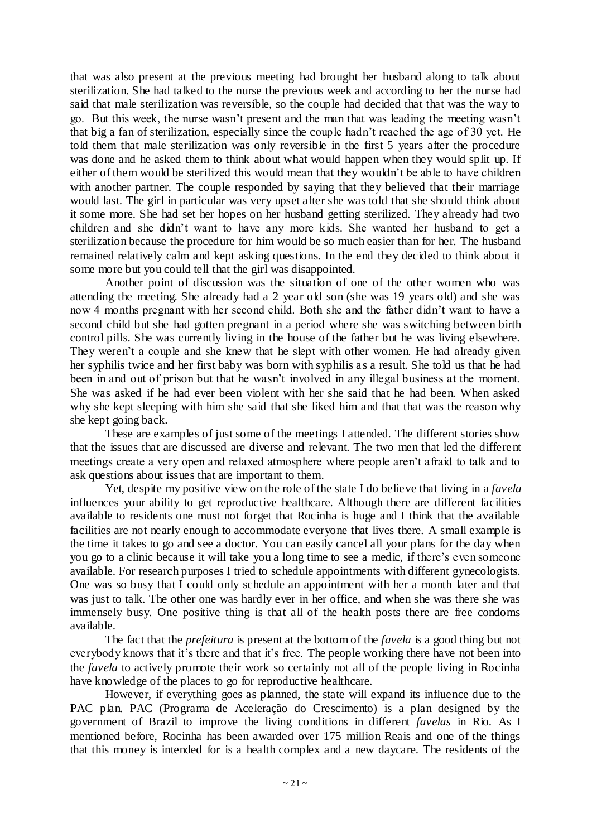that was also present at the previous meeting had brought her husband along to talk about sterilization. She had talked to the nurse the previous week and according to her the nurse had said that male sterilization was reversible, so the couple had decided that that was the way to go. But this week, the nurse wasn"t present and the man that was leading the meeting wasn"t that big a fan of sterilization, especially since the couple hadn"t reached the age of 30 yet. He told them that male sterilization was only reversible in the first 5 years after the procedure was done and he asked them to think about what would happen when they would split up. If either of them would be sterilized this would mean that they wouldn"t be able to have children with another partner. The couple responded by saying that they believed that their marriage would last. The girl in particular was very upset after she was told that she should think about it some more. She had set her hopes on her husband getting sterilized. They already had two children and she didn"t want to have any more kids. She wanted her husband to get a sterilization because the procedure for him would be so much easier than for her. The husband remained relatively calm and kept asking questions. In the end they decided to think about it some more but you could tell that the girl was disappointed.

Another point of discussion was the situation of one of the other women who was attending the meeting. She already had a 2 year old son (she was 19 years old) and she was now 4 months pregnant with her second child. Both she and the father didn"t want to have a second child but she had gotten pregnant in a period where she was switching between birth control pills. She was currently living in the house of the father but he was living elsewhere. They weren't a couple and she knew that he slept with other women. He had already given her syphilis twice and her first baby was born with syphilis as a result. She told us that he had been in and out of prison but that he wasn't involved in any illegal business at the moment. She was asked if he had ever been violent with her she said that he had been. When asked why she kept sleeping with him she said that she liked him and that that was the reason why she kept going back.

These are examples of just some of the meetings I attended. The different stories show that the issues that are discussed are diverse and relevant. The two men that led the different meetings create a very open and relaxed atmosphere where people aren"t afraid to talk and to ask questions about issues that are important to them.

Yet, despite my positive view on the role of the state I do believe that living in a *favela* influences your ability to get reproductive healthcare. Although there are different facilities available to residents one must not forget that Rocinha is huge and I think that the available facilities are not nearly enough to accommodate everyone that lives there. A small example is the time it takes to go and see a doctor. You can easily cancel all your plans for the day when you go to a clinic because it will take you a long time to see a medic, if there"s even someone available. For research purposes I tried to schedule appointments with different gynecologists. One was so busy that I could only schedule an appointment with her a month later and that was just to talk. The other one was hardly ever in her office, and when she was there she was immensely busy. One positive thing is that all of the health posts there are free condoms available.

The fact that the *prefeitura* is present at the bottom of the *favela* is a good thing but not everybody knows that it's there and that it's free. The people working there have not been into the *favela* to actively promote their work so certainly not all of the people living in Rocinha have knowledge of the places to go for reproductive healthcare.

However, if everything goes as planned, the state will expand its influence due to the PAC plan. PAC (Programa de Aceleração do Crescimento) is a plan designed by the government of Brazil to improve the living conditions in different *favelas* in Rio. As I mentioned before, Rocinha has been awarded over 175 million Reais and one of the things that this money is intended for is a health complex and a new daycare. The residents of the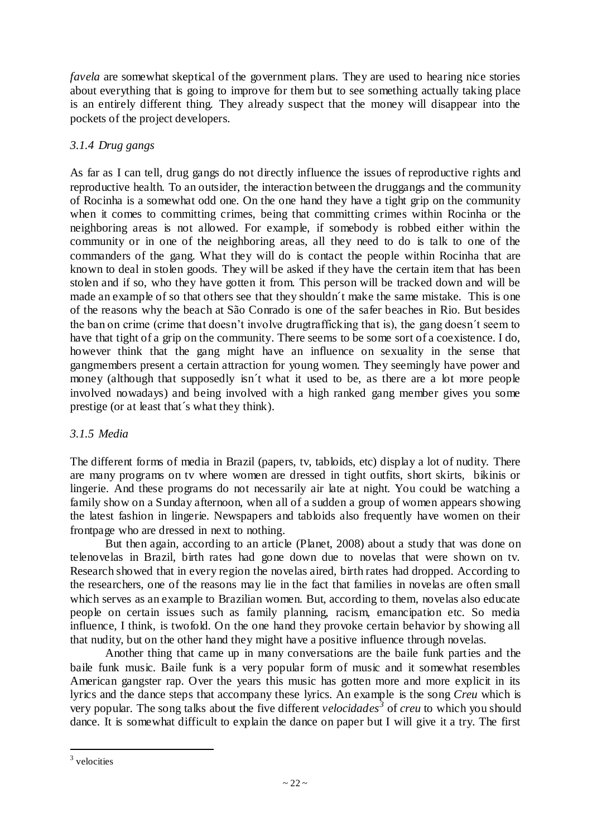*favela* are somewhat skeptical of the government plans. They are used to hearing nice stories about everything that is going to improve for them but to see something actually taking place is an entirely different thing. They already suspect that the money will disappear into the pockets of the project developers.

#### *3.1.4 Drug gangs*

As far as I can tell, drug gangs do not directly influence the issues of reproductive rights and reproductive health. To an outsider, the interaction between the druggangs and the community of Rocinha is a somewhat odd one. On the one hand they have a tight grip on the community when it comes to committing crimes, being that committing crimes within Rocinha or the neighboring areas is not allowed. For example, if somebody is robbed either within the community or in one of the neighboring areas, all they need to do is talk to one of the commanders of the gang. What they will do is contact the people within Rocinha that are known to deal in stolen goods. They will be asked if they have the certain item that has been stolen and if so, who they have gotten it from. This person will be tracked down and will be made an example of so that others see that they shouldn´t make the same mistake. This is one of the reasons why the beach at São Conrado is one of the safer beaches in Rio. But besides the ban on crime (crime that doesn"t involve drugtrafficking that is), the gang doesn´t seem to have that tight of a grip on the community. There seems to be some sort of a coexistence. I do, however think that the gang might have an influence on sexuality in the sense that gangmembers present a certain attraction for young women. They seemingly have power and money (although that supposedly isn´t what it used to be, as there are a lot more people involved nowadays) and being involved with a high ranked gang member gives you some prestige (or at least that´s what they think).

#### *3.1.5 Media*

The different forms of media in Brazil (papers, tv, tabloids, etc) display a lot of nudity. There are many programs on tv where women are dressed in tight outfits, short skirts, bikinis or lingerie. And these programs do not necessarily air late at night. You could be watching a family show on a Sunday afternoon, when all of a sudden a group of women appears showing the latest fashion in lingerie. Newspapers and tabloids also frequently have women on their frontpage who are dressed in next to nothing.

But then again, according to an article (Planet, 2008) about a study that was done on telenovelas in Brazil, birth rates had gone down due to novelas that were shown on tv. Research showed that in every region the novelas aired, birth rates had dropped. According to the researchers, one of the reasons may lie in the fact that families in novelas are often small which serves as an example to Brazilian women. But, according to them, novelas also educate people on certain issues such as family planning, racism, emancipation etc. So media influence, I think, is twofold. On the one hand they provoke certain behavior by showing all that nudity, but on the other hand they might have a positive influence through novelas.

Another thing that came up in many conversations are the baile funk parties and the baile funk music. Baile funk is a very popular form of music and it somewhat resembles American gangster rap. Over the years this music has gotten more and more explicit in its lyrics and the dance steps that accompany these lyrics. An example is the song *Creu* which is very popular. The song talks about the five different *velocidades<sup>3</sup>* of *creu* to which you should dance. It is somewhat difficult to explain the dance on paper but I will give it a try. The first

 $\overline{a}$ 

<sup>3</sup> velocities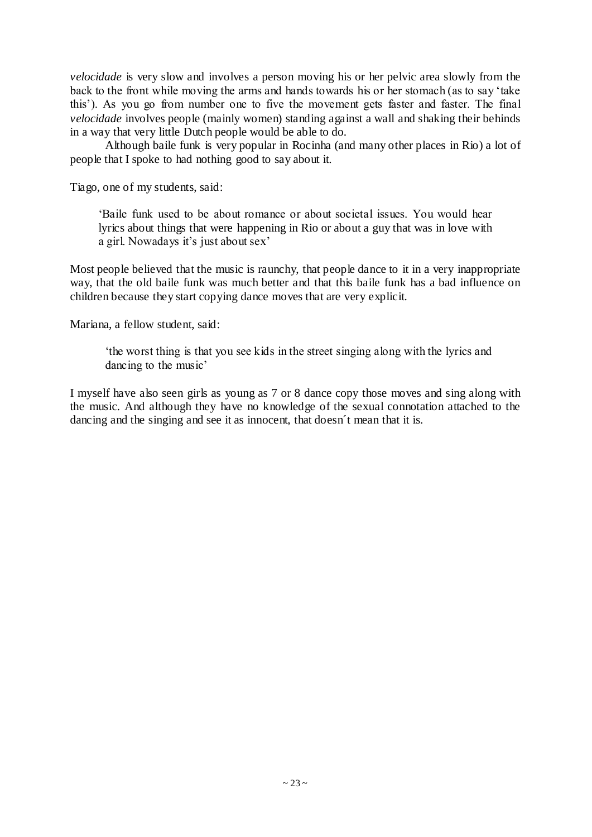*velocidade* is very slow and involves a person moving his or her pelvic area slowly from the back to the front while moving the arms and hands towards his or her stomach (as to say "take this"). As you go from number one to five the movement gets faster and faster. The final *velocidade* involves people (mainly women) standing against a wall and shaking their behinds in a way that very little Dutch people would be able to do.

Although baile funk is very popular in Rocinha (and many other places in Rio) a lot of people that I spoke to had nothing good to say about it.

Tiago, one of my students, said:

"Baile funk used to be about romance or about societal issues. You would hear lyrics about things that were happening in Rio or about a guy that was in love with a girl. Nowadays it's just about sex'

Most people believed that the music is raunchy, that people dance to it in a very inappropriate way, that the old baile funk was much better and that this baile funk has a bad influence on children because they start copying dance moves that are very explicit.

Mariana, a fellow student, said:

"the worst thing is that you see kids in the street singing along with the lyrics and dancing to the music'

I myself have also seen girls as young as 7 or 8 dance copy those moves and sing along with the music. And although they have no knowledge of the sexual connotation attached to the dancing and the singing and see it as innocent, that doesn´t mean that it is.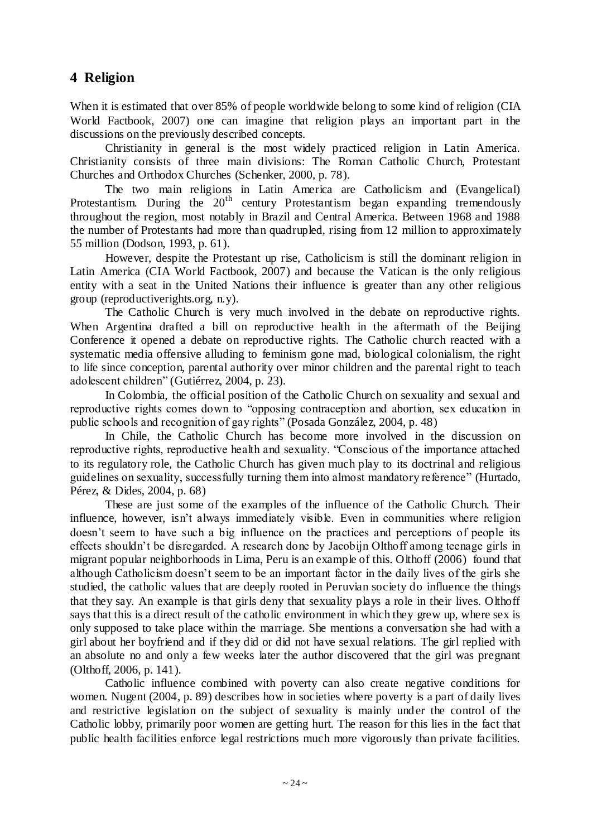## **4 Religion**

When it is estimated that over 85% of people worldwide belong to some kind of religion (CIA World Factbook, 2007) one can imagine that religion plays an important part in the discussions on the previously described concepts.

Christianity in general is the most widely practiced religion in Latin America. Christianity consists of three main divisions: The Roman Catholic Church, Protestant Churches and Orthodox Churches (Schenker, 2000, p. 78).

The two main religions in Latin America are Catholicism and (Evangelical) Protestantism. During the  $20<sup>th</sup>$  century Protestantism began expanding tremendously throughout the region, most notably in Brazil and Central America. Between 1968 and 1988 the number of Protestants had more than quadrupled, rising from 12 million to approximately 55 million (Dodson, 1993, p. 61).

However, despite the Protestant up rise, Catholicism is still the dominant religion in Latin America (CIA World Factbook, 2007) and because the Vatican is the only religious entity with a seat in the United Nations their influence is greater than any other religious group (reproductiverights.org, n.y).

The Catholic Church is very much involved in the debate on reproductive rights. When Argentina drafted a bill on reproductive health in the aftermath of the Beijing Conference it opened a debate on reproductive rights. The Catholic church reacted with a systematic media offensive alluding to feminism gone mad, biological colonialism, the right to life since conception, parental authority over minor children and the parental right to teach adolescent children" (Gutiérrez, 2004, p. 23).

In Colombia, the official position of the Catholic Church on sexuality and sexual and reproductive rights comes down to "opposing contraception and abortion, sex education in public schools and recognition of gay rights" (Posada González, 2004, p. 48)

In Chile, the Catholic Church has become more involved in the discussion on reproductive rights, reproductive health and sexuality. "Conscious of the importance attached to its regulatory role, the Catholic Church has given much play to its doctrinal and religious guidelines on sexuality, successfully turning them into almost mandatory reference" (Hurtado, Pérez, & Dides, 2004, p. 68)

These are just some of the examples of the influence of the Catholic Church. Their influence, however, isn't always immediately visible. Even in communities where religion doesn"t seem to have such a big influence on the practices and perceptions of people its effects shouldn"t be disregarded. A research done by Jacobijn Olthoff among teenage girls in migrant popular neighborhoods in Lima, Peru is an example of this. Olthoff (2006) found that although Catholicism doesn't seem to be an important factor in the daily lives of the girls she studied, the catholic values that are deeply rooted in Peruvian society do influence the things that they say. An example is that girls deny that sexuality plays a role in their lives. Olthoff says that this is a direct result of the catholic environment in which they grew up, where sex is only supposed to take place within the marriage. She mentions a conversation she had with a girl about her boyfriend and if they did or did not have sexual relations. The girl replied with an absolute no and only a few weeks later the author discovered that the girl was pregnant (Olthoff, 2006, p. 141).

Catholic influence combined with poverty can also create negative conditions for women. Nugent (2004, p. 89) describes how in societies where poverty is a part of daily lives and restrictive legislation on the subject of sexuality is mainly under the control of the Catholic lobby, primarily poor women are getting hurt. The reason for this lies in the fact that public health facilities enforce legal restrictions much more vigorously than private facilities.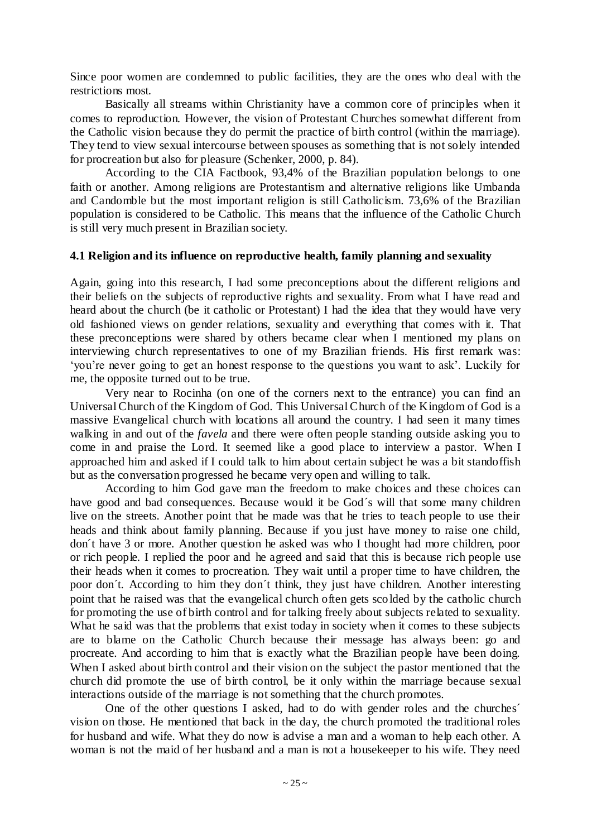Since poor women are condemned to public facilities, they are the ones who deal with the restrictions most.

Basically all streams within Christianity have a common core of principles when it comes to reproduction. However, the vision of Protestant Churches somewhat different from the Catholic vision because they do permit the practice of birth control (within the marriage). They tend to view sexual intercourse between spouses as something that is not solely intended for procreation but also for pleasure (Schenker, 2000, p. 84).

According to the CIA Factbook, 93,4% of the Brazilian population belongs to one faith or another. Among religions are Protestantism and alternative religions like Umbanda and Candomble but the most important religion is still Catholicism. 73,6% of the Brazilian population is considered to be Catholic. This means that the influence of the Catholic Church is still very much present in Brazilian society.

#### **4.1 Religion and its influence on reproductive health, family planning and sexuality**

Again, going into this research, I had some preconceptions about the different religions and their beliefs on the subjects of reproductive rights and sexuality. From what I have read and heard about the church (be it catholic or Protestant) I had the idea that they would have very old fashioned views on gender relations, sexuality and everything that comes with it. That these preconceptions were shared by others became clear when I mentioned my plans on interviewing church representatives to one of my Brazilian friends. His first remark was: "you"re never going to get an honest response to the questions you want to ask". Luckily for me, the opposite turned out to be true.

Very near to Rocinha (on one of the corners next to the entrance) you can find an Universal Church of the Kingdom of God. This Universal Church of the Kingdom of God is a massive Evangelical church with locations all around the country. I had seen it many times walking in and out of the *favela* and there were often people standing outside asking you to come in and praise the Lord. It seemed like a good place to interview a pastor. When I approached him and asked if I could talk to him about certain subject he was a bit standoffish but as the conversation progressed he became very open and willing to talk.

According to him God gave man the freedom to make choices and these choices can have good and bad consequences. Because would it be God´s will that some many children live on the streets. Another point that he made was that he tries to teach people to use their heads and think about family planning. Because if you just have money to raise one child, don´t have 3 or more. Another question he asked was who I thought had more children, poor or rich people. I replied the poor and he agreed and said that this is because rich people use their heads when it comes to procreation. They wait until a proper time to have children, the poor don´t. According to him they don´t think, they just have children. Another interesting point that he raised was that the evangelical church often gets scolded by the catholic church for promoting the use of birth control and for talking freely about subjects related to sexuality. What he said was that the problems that exist today in society when it comes to these subjects are to blame on the Catholic Church because their message has always been: go and procreate. And according to him that is exactly what the Brazilian people have been doing. When I asked about birth control and their vision on the subject the pastor mentioned that the church did promote the use of birth control, be it only within the marriage because sexual interactions outside of the marriage is not something that the church promotes.

One of the other questions I asked, had to do with gender roles and the churches´ vision on those. He mentioned that back in the day, the church promoted the traditional roles for husband and wife. What they do now is advise a man and a woman to help each other. A woman is not the maid of her husband and a man is not a housekeeper to his wife. They need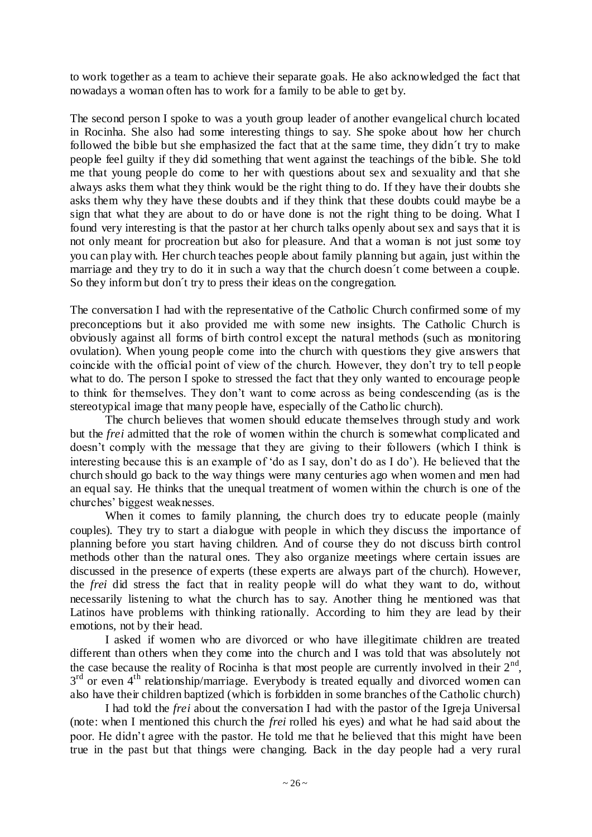to work together as a team to achieve their separate goals. He also acknowledged the fact that nowadays a woman often has to work for a family to be able to get by.

The second person I spoke to was a youth group leader of another evangelical church located in Rocinha. She also had some interesting things to say. She spoke about how her church followed the bible but she emphasized the fact that at the same time, they didn´t try to make people feel guilty if they did something that went against the teachings of the bible. She told me that young people do come to her with questions about sex and sexuality and that she always asks them what they think would be the right thing to do. If they have their doubts she asks them why they have these doubts and if they think that these doubts could maybe be a sign that what they are about to do or have done is not the right thing to be doing. What I found very interesting is that the pastor at her church talks openly about sex and says that it is not only meant for procreation but also for pleasure. And that a woman is not just some toy you can play with. Her church teaches people about family planning but again, just within the marriage and they try to do it in such a way that the church doesn´t come between a couple. So they inform but don´t try to press their ideas on the congregation.

The conversation I had with the representative of the Catholic Church confirmed some of my preconceptions but it also provided me with some new insights. The Catholic Church is obviously against all forms of birth control except the natural methods (such as monitoring ovulation). When young people come into the church with questions they give answers that coincide with the official point of view of the church. However, they don"t try to tell p eople what to do. The person I spoke to stressed the fact that they only wanted to encourage people to think for themselves. They don"t want to come across as being condescending (as is the stereotypical image that many people have, especially of the Catholic church).

The church believes that women should educate themselves through study and work but the *frei* admitted that the role of women within the church is somewhat complicated and doesn't comply with the message that they are giving to their followers (which I think is interesting because this is an example of "do as I say, don"t do as I do"). He believed that the church should go back to the way things were many centuries ago when women and men had an equal say. He thinks that the unequal treatment of women within the church is one of the churches" biggest weaknesses.

When it comes to family planning, the church does try to educate people (mainly couples). They try to start a dialogue with people in which they discuss the importance of planning before you start having children. And of course they do not discuss birth control methods other than the natural ones. They also organize meetings where certain issues are discussed in the presence of experts (these experts are always part of the church). However, the *frei* did stress the fact that in reality people will do what they want to do, without necessarily listening to what the church has to say. Another thing he mentioned was that Latinos have problems with thinking rationally. According to him they are lead by their emotions, not by their head.

I asked if women who are divorced or who have illegitimate children are treated different than others when they come into the church and I was told that was absolutely not the case because the reality of Rocinha is that most people are currently involved in their  $2<sup>nd</sup>$ , 3<sup>rd</sup> or even 4<sup>th</sup> relationship/marriage. Everybody is treated equally and divorced women can also have their children baptized (which is forbidden in some branches of the Catholic church)

I had told the *frei* about the conversation I had with the pastor of the Igreja Universal (note: when I mentioned this church the *frei* rolled his eyes) and what he had said about the poor. He didn"t agree with the pastor. He told me that he believed that this might have been true in the past but that things were changing. Back in the day people had a very rural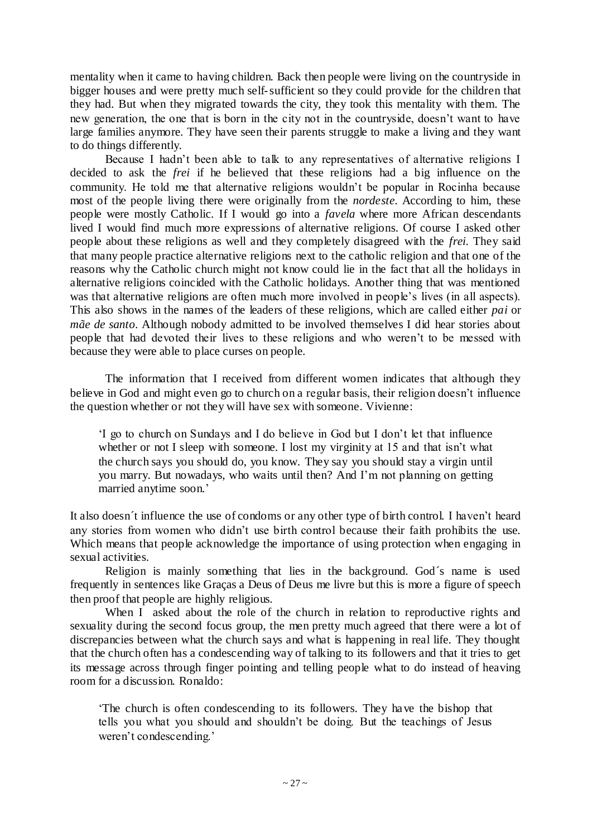mentality when it came to having children. Back then people were living on the countryside in bigger houses and were pretty much self-sufficient so they could provide for the children that they had. But when they migrated towards the city, they took this mentality with them. The new generation, the one that is born in the city not in the countryside, doesn"t want to have large families anymore. They have seen their parents struggle to make a living and they want to do things differently.

Because I hadn't been able to talk to any representatives of alternative religions I decided to ask the *frei* if he believed that these religions had a big influence on the community. He told me that alternative religions wouldn"t be popular in Rocinha because most of the people living there were originally from the *nordeste*. According to him, these people were mostly Catholic. If I would go into a *favela* where more African descendants lived I would find much more expressions of alternative religions. Of course I asked other people about these religions as well and they completely disagreed with the *frei*. They said that many people practice alternative religions next to the catholic religion and that one of the reasons why the Catholic church might not know could lie in the fact that all the holidays in alternative religions coincided with the Catholic holidays. Another thing that was mentioned was that alternative religions are often much more involved in people's lives (in all aspects). This also shows in the names of the leaders of these religions, which are called either *pai* or *mãe de santo*. Although nobody admitted to be involved themselves I did hear stories about people that had devoted their lives to these religions and who weren"t to be messed with because they were able to place curses on people.

The information that I received from different women indicates that although they believe in God and might even go to church on a regular basis, their religion doesn't influence the question whether or not they will have sex with someone. Vivienne:

"I go to church on Sundays and I do believe in God but I don"t let that influence whether or not I sleep with someone. I lost my virginity at 15 and that isn't what the church says you should do, you know. They say you should stay a virgin until you marry. But nowadays, who waits until then? And I"m not planning on getting married anytime soon."

It also doesn´t influence the use of condoms or any other type of birth control. I haven"t heard any stories from women who didn"t use birth control because their faith prohibits the use. Which means that people acknowledge the importance of using protection when engaging in sexual activities.

Religion is mainly something that lies in the background. God´s name is used frequently in sentences like Graças a Deus of Deus me livre but this is more a figure of speech then proof that people are highly religious.

When I asked about the role of the church in relation to reproductive rights and sexuality during the second focus group, the men pretty much agreed that there were a lot of discrepancies between what the church says and what is happening in real life. They thought that the church often has a condescending way of talking to its followers and that it tries to get its message across through finger pointing and telling people what to do instead of heaving room for a discussion. Ronaldo:

"The church is often condescending to its followers. They have the bishop that tells you what you should and shouldn"t be doing. But the teachings of Jesus weren"t condescending."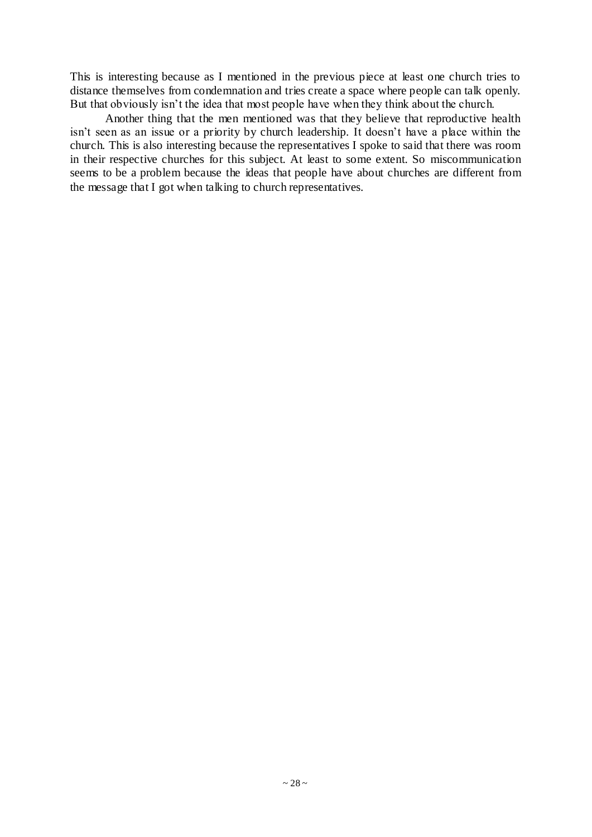This is interesting because as I mentioned in the previous piece at least one church tries to distance themselves from condemnation and tries create a space where people can talk openly. But that obviously isn"t the idea that most people have when they think about the church.

Another thing that the men mentioned was that they believe that reproductive health isn't seen as an issue or a priority by church leadership. It doesn't have a place within the church. This is also interesting because the representatives I spoke to said that there was room in their respective churches for this subject. At least to some extent. So miscommunication seems to be a problem because the ideas that people have about churches are different from the message that I got when talking to church representatives.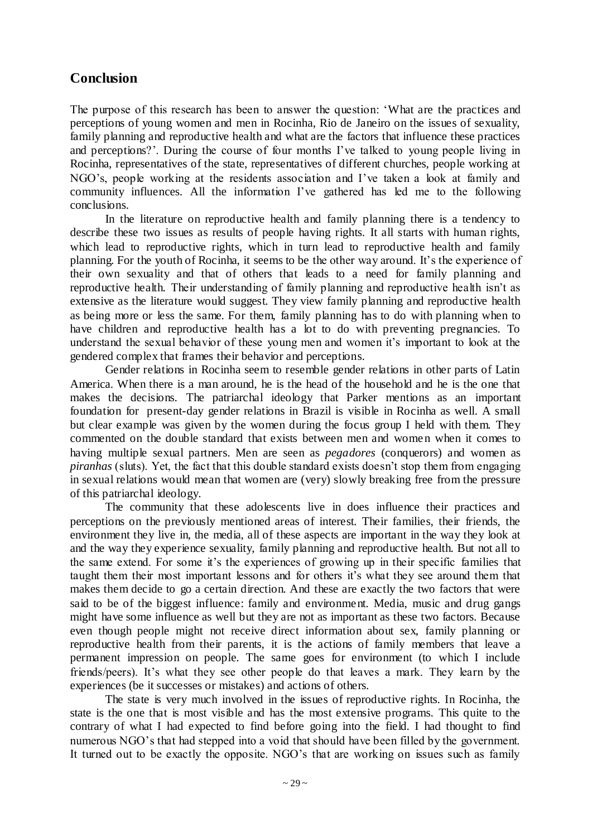## **Conclusion**

The purpose of this research has been to answer the question: "What are the practices and perceptions of young women and men in Rocinha, Rio de Janeiro on the issues of sexuality, family planning and reproductive health and what are the factors that influence these practices and perceptions?'. During the course of four months I've talked to young people living in Rocinha, representatives of the state, representatives of different churches, people working at NGO"s, people working at the residents association and I"ve taken a look at family and community influences. All the information I"ve gathered has led me to the following conclusions.

In the literature on reproductive health and family planning there is a tendency to describe these two issues as results of people having rights. It all starts with human rights, which lead to reproductive rights, which in turn lead to reproductive health and family planning. For the youth of Rocinha, it seems to be the other way around. It"s the experience of their own sexuality and that of others that leads to a need for family planning and reproductive health. Their understanding of family planning and reproductive health isn't as extensive as the literature would suggest. They view family planning and reproductive health as being more or less the same. For them, family planning has to do with planning when to have children and reproductive health has a lot to do with preventing pregnancies. To understand the sexual behavior of these young men and women it's important to look at the gendered complex that frames their behavior and perceptions.

Gender relations in Rocinha seem to resemble gender relations in other parts of Latin America. When there is a man around, he is the head of the household and he is the one that makes the decisions. The patriarchal ideology that Parker mentions as an important foundation for present-day gender relations in Brazil is visible in Rocinha as well. A small but clear example was given by the women during the focus group I held with them. They commented on the double standard that exists between men and women when it comes to having multiple sexual partners. Men are seen as *pegadores* (conquerors) and women as *piranhas* (sluts). Yet, the fact that this double standard exists doesn't stop them from engaging in sexual relations would mean that women are (very) slowly breaking free from the pressure of this patriarchal ideology.

The community that these adolescents live in does influence their practices and perceptions on the previously mentioned areas of interest. Their families, their friends, the environment they live in, the media, all of these aspects are important in the way they look at and the way they experience sexuality, family planning and reproductive health. But not all to the same extend. For some it"s the experiences of growing up in their specific families that taught them their most important lessons and for others it's what they see around them that makes them decide to go a certain direction. And these are exactly the two factors that were said to be of the biggest influence: family and environment. Media, music and drug gangs might have some influence as well but they are not as important as these two factors. Because even though people might not receive direct information about sex, family planning or reproductive health from their parents, it is the actions of family members that leave a permanent impression on people. The same goes for environment (to which I include friends/peers). It's what they see other people do that leaves a mark. They learn by the experiences (be it successes or mistakes) and actions of others.

The state is very much involved in the issues of reproductive rights. In Rocinha, the state is the one that is most visible and has the most extensive programs. This quite to the contrary of what I had expected to find before going into the field. I had thought to find numerous NGO's that had stepped into a void that should have been filled by the government. It turned out to be exactly the opposite. NGO's that are working on issues such as family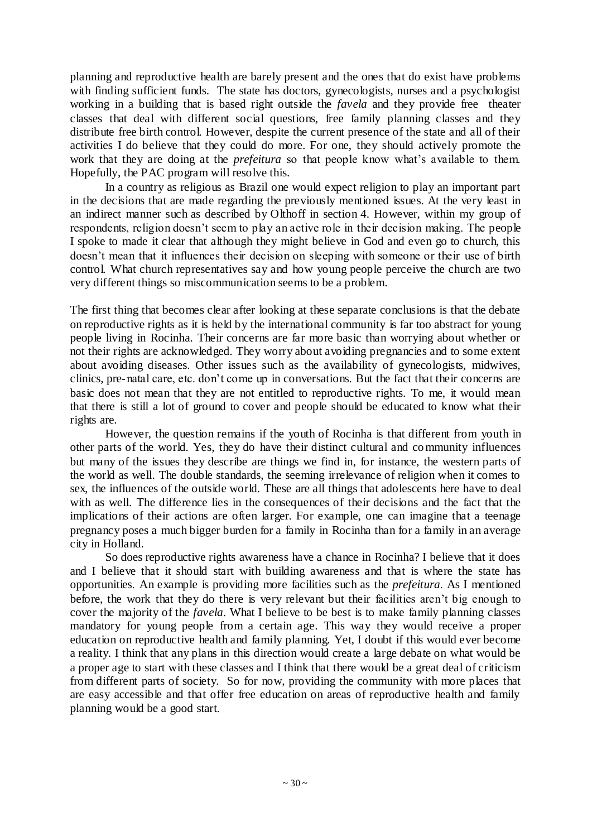planning and reproductive health are barely present and the ones that do exist have problems with finding sufficient funds. The state has doctors, gynecologists, nurses and a psychologist working in a building that is based right outside the *favela* and they provide free theater classes that deal with different social questions, free family planning classes and they distribute free birth control. However, despite the current presence of the state and all of their activities I do believe that they could do more. For one, they should actively promote the work that they are doing at the *prefeitura* so that people know what"s available to them. Hopefully, the PAC program will resolve this.

In a country as religious as Brazil one would expect religion to play an important part in the decisions that are made regarding the previously mentioned issues. At the very least in an indirect manner such as described by Olthoff in section 4. However, within my group of respondents, religion doesn"t seem to play an active role in their decision making. The people I spoke to made it clear that although they might believe in God and even go to church, this doesn"t mean that it influences their decision on sleeping with someone or their use of birth control. What church representatives say and how young people perceive the church are two very different things so miscommunication seems to be a problem.

The first thing that becomes clear after looking at these separate conclusions is that the debate on reproductive rights as it is held by the international community is far too abstract for young people living in Rocinha. Their concerns are far more basic than worrying about whether or not their rights are acknowledged. They worry about avoiding pregnancies and to some extent about avoiding diseases. Other issues such as the availability of gynecologists, midwives, clinics, pre-natal care, etc. don"t come up in conversations. But the fact that their concerns are basic does not mean that they are not entitled to reproductive rights. To me, it would mean that there is still a lot of ground to cover and people should be educated to know what their rights are.

However, the question remains if the youth of Rocinha is that different from youth in other parts of the world. Yes, they do have their distinct cultural and community influences but many of the issues they describe are things we find in, for instance, the western parts of the world as well. The double standards, the seeming irrelevance of religion when it comes to sex, the influences of the outside world. These are all things that adolescents here have to deal with as well. The difference lies in the consequences of their decisions and the fact that the implications of their actions are often larger. For example, one can imagine that a teenage pregnancy poses a much bigger burden for a family in Rocinha than for a family in an average city in Holland.

So does reproductive rights awareness have a chance in Rocinha? I believe that it does and I believe that it should start with building awareness and that is where the state has opportunities. An example is providing more facilities such as the *prefeitura.* As I mentioned before, the work that they do there is very relevant but their facilities aren"t big enough to cover the majority of the *favela*. What I believe to be best is to make family planning classes mandatory for young people from a certain age. This way they would receive a proper education on reproductive health and family planning. Yet, I doubt if this would ever become a reality. I think that any plans in this direction would create a large debate on what would be a proper age to start with these classes and I think that there would be a great deal of criticism from different parts of society. So for now, providing the community with more places that are easy accessible and that offer free education on areas of reproductive health and family planning would be a good start.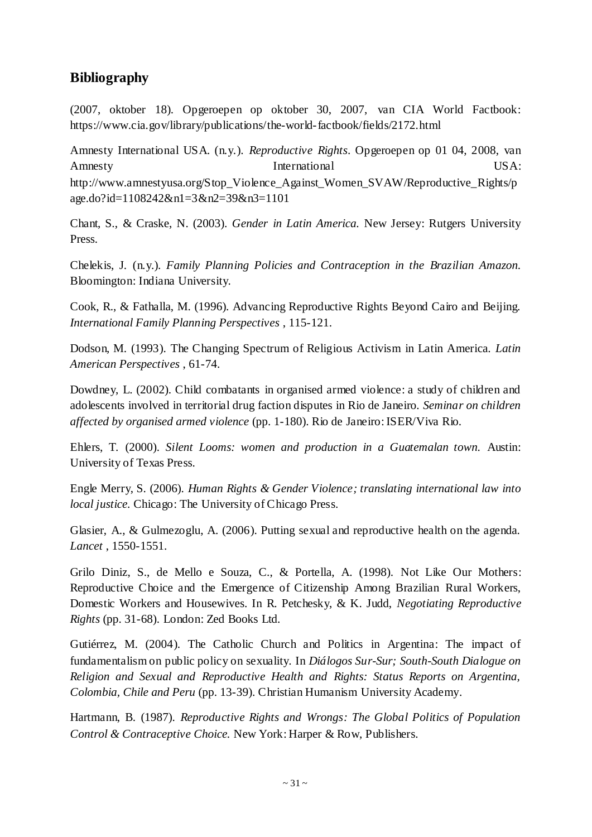## **Bibliography**

(2007, oktober 18). Opgeroepen op oktober 30, 2007, van CIA World Factbook: https://www.cia.gov/library/publications/the-world-factbook/fields/2172.html

Amnesty International USA. (n.y.). *Reproductive Rights*. Opgeroepen op 01 04, 2008, van Amnesty International USA: http://www.amnestyusa.org/Stop\_Violence\_Against\_Women\_SVAW/Reproductive\_Rights/p age.do?id=1108242&n1=3&n2=39&n3=1101

Chant, S., & Craske, N. (2003). *Gender in Latin America.* New Jersey: Rutgers University Press.

Chelekis, J. (n.y.). *Family Planning Policies and Contraception in the Brazilian Amazon.* Bloomington: Indiana University.

Cook, R., & Fathalla, M. (1996). Advancing Reproductive Rights Beyond Cairo and Beijing. *International Family Planning Perspectives* , 115-121.

Dodson, M. (1993). The Changing Spectrum of Religious Activism in Latin America. *Latin American Perspectives* , 61-74.

Dowdney, L. (2002). Child combatants in organised armed violence: a study of children and adolescents involved in territorial drug faction disputes in Rio de Janeiro. *Seminar on children affected by organised armed violence* (pp. 1-180). Rio de Janeiro: ISER/Viva Rio.

Ehlers, T. (2000). *Silent Looms: women and production in a Guatemalan town.* Austin: University of Texas Press.

Engle Merry, S. (2006). *Human Rights & Gender Violence; translating international law into local justice.* Chicago: The University of Chicago Press.

Glasier, A., & Gulmezoglu, A. (2006). Putting sexual and reproductive health on the agenda. *Lancet* , 1550-1551.

Grilo Diniz, S., de Mello e Souza, C., & Portella, A. (1998). Not Like Our Mothers: Reproductive Choice and the Emergence of Citizenship Among Brazilian Rural Workers, Domestic Workers and Housewives. In R. Petchesky, & K. Judd, *Negotiating Reproductive Rights* (pp. 31-68). London: Zed Books Ltd.

Gutiérrez, M. (2004). The Catholic Church and Politics in Argentina: The impact of fundamentalism on public policy on sexuality. In *Diálogos Sur-Sur; South-South Dialogue on Religion and Sexual and Reproductive Health and Rights: Status Reports on Argentina, Colombia, Chile and Peru* (pp. 13-39). Christian Humanism University Academy.

Hartmann, B. (1987). *Reproductive Rights and Wrongs: The Global Politics of Population Control & Contraceptive Choice.* New York: Harper & Row, Publishers.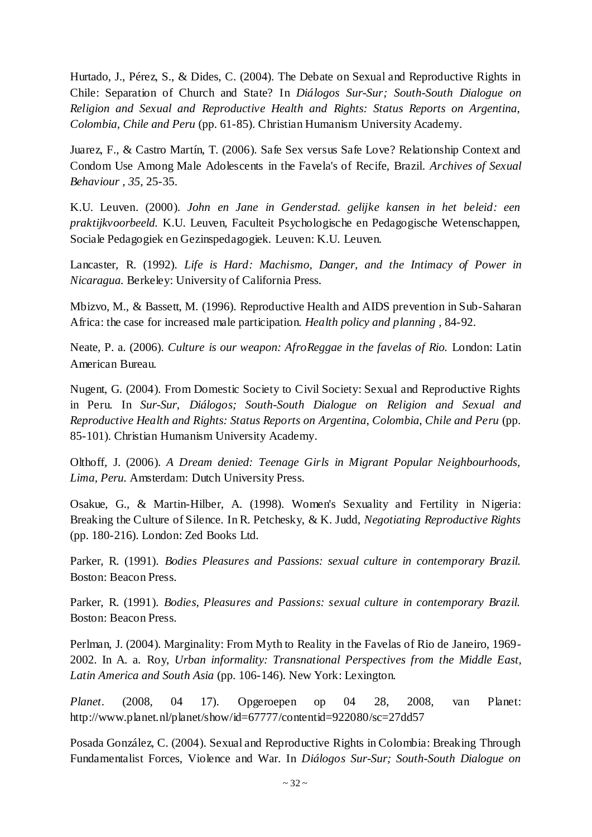Hurtado, J., Pérez, S., & Dides, C. (2004). The Debate on Sexual and Reproductive Rights in Chile: Separation of Church and State? In *Diálogos Sur-Sur; South-South Dialogue on Religion and Sexual and Reproductive Health and Rights: Status Reports on Argentina, Colombia, Chile and Peru* (pp. 61-85). Christian Humanism University Academy.

Juarez, F., & Castro Martín, T. (2006). Safe Sex versus Safe Love? Relationship Context and Condom Use Among Male Adolescents in the Favela's of Recife, Brazil. *Archives of Sexual Behaviour , 35*, 25-35.

K.U. Leuven. (2000). *John en Jane in Genderstad. gelijke kansen in het beleid: een praktijkvoorbeeld.* K.U. Leuven, Faculteit Psychologische en Pedagogische Wetenschappen, Sociale Pedagogiek en Gezinspedagogiek. Leuven: K.U. Leuven.

Lancaster, R. (1992). *Life is Hard: Machismo, Danger, and the Intimacy of Power in Nicaragua.* Berkeley: University of California Press.

Mbizvo, M., & Bassett, M. (1996). Reproductive Health and AIDS prevention in Sub-Saharan Africa: the case for increased male participation. *Health policy and planning* , 84-92.

Neate, P. a. (2006). *Culture is our weapon: AfroReggae in the favelas of Rio.* London: Latin American Bureau.

Nugent, G. (2004). From Domestic Society to Civil Society: Sexual and Reproductive Rights in Peru. In *Sur-Sur, Diálogos; South-South Dialogue on Religion and Sexual and Reproductive Health and Rights: Status Reports on Argentina, Colombia, Chile and Peru* (pp. 85-101). Christian Humanism University Academy.

Olthoff, J. (2006). *A Dream denied: Teenage Girls in Migrant Popular Neighbourhoods, Lima, Peru.* Amsterdam: Dutch University Press.

Osakue, G., & Martin-Hilber, A. (1998). Women's Sexuality and Fertility in Nigeria: Breaking the Culture of Silence. In R. Petchesky, & K. Judd, *Negotiating Reproductive Rights* (pp. 180-216). London: Zed Books Ltd.

Parker, R. (1991). *Bodies Pleasures and Passions: sexual culture in contemporary Brazil.* Boston: Beacon Press.

Parker, R. (1991). *Bodies, Pleasures and Passions: sexual culture in contemporary Brazil.* Boston: Beacon Press.

Perlman, J. (2004). Marginality: From Myth to Reality in the Favelas of Rio de Janeiro, 1969- 2002. In A. a. Roy, *Urban informality: Transnational Perspectives from the Middle East, Latin America and South Asia* (pp. 106-146). New York: Lexington.

*Planet*. (2008, 04 17). Opgeroepen op 04 28, 2008, van Planet: http://www.planet.nl/planet/show/id=67777/contentid=922080/sc=27dd57

Posada González, C. (2004). Sexual and Reproductive Rights in Colombia: Breaking Through Fundamentalist Forces, Violence and War. In *Diálogos Sur-Sur; South-South Dialogue on*